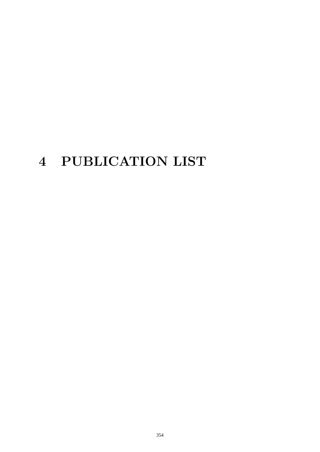# **4 PUBLICATION LIST**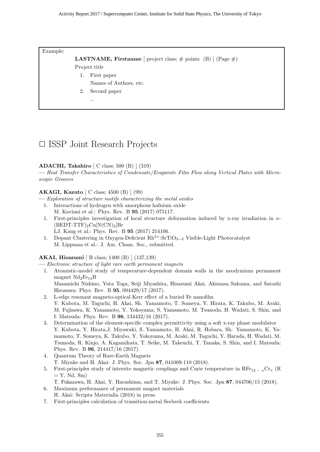Example:

```
LASTNAME, Firstname [ project class; \# points (B) ] (Page \#)
```
Project title

- 1. First paper
	- Names of Authors, etc.
- 2. Second paper
	- ...

### ✷ ISSP Joint Research Projects

#### ADACHI, Takahiro  $\vert$  C class; 500 (B)  $\vert$  (319)

— Heat Transfer Characteristics of Condensate/Evaporate Film Flow along Vertical Plates with Microscopic Grooves

#### AKAGI, Kazuto [ C class; 4500 (B) ] (99)

— Exploration of structure motifs characterizing the metal oxides

- 1. Interactions of hydrogen with amorphous hafnium oxide M. Kaviani et al.: Phys. Rev. B 95 (2017) 075117.
- 1. First-principles investigation of local structure deformation induced by x-ray irradiation in  $\kappa$ - $(BEDT-TTF)_{2}Cu[N(CN)_{2}]Br$ 
	- LJ. Kang et al.: Phys. Rev. B 95 (2017) 214106.
- 1. Dopant Clustering in Oxygen-Deficient  $Rh^{3+}$ :SrTiO<sub>3−δ</sub> Visible-Light Photocatalyst M. Lippmaa et al.: J. Am. Cham. Soc., submitted.

#### AKAI, Hisazumi [ B class; 1400 (B) ] (137,139)

— Electronic structure of light rare earth permanent magnets

- 1. Atomistic-model study of temperature-dependent domain walls in the neodymium permanent magnet  $Nd_2Fe_{14}B$ Masamichi Nishino, Yuta Toga, Seiji Miyashita, Hisazumi Akai, Akimasa Sakuma, and Satoshi
- Hirosawa: Phys. Rev. B 95, 094429/17 (2017). 2. L-edge resonant magneto-optical Kerr effect of a buried Fe nanofilm Y. Kubota, M. Taguchi, H. Akai, Sh. Yamamoto, T. Someya, Y. Hirata, K. Takubo, M. Araki, M. Fujisawa, K. Yamamoto, Y. Yokoyama, S. Yamamoto, M. Tsunoda, H. Wadati, S. Shin, and I. Matsuda: Phys. Rev. B 96, 134432/16 (2017).
- 3. Determination of the element-specific complex permittivity using a soft x-ray phase modulator Y. Kubota, Y. Hirata,J. Miyawaki, S. Yamamoto, H. Akai, R. Hobara, Sh. Yamamoto, K. Yamamoto, T. Someya, K. Takubo, Y. Yokoyama, M. Araki, M. Taguchi, Y. Harada, H. Wadati, M. Tsunoda, R. Kinjo, A. Kagamihata, T. Seike, M. Takeuchi, T. Tanaka, S. Shin, and I. Matsuda: Phys. Rev. B 96, 214417/16 (2017).
- 4. Quantum Theory of Rare-Earth Magnets T. Miyake and H. Akai: J. Phys. Soc. Jpn 87, 041009-110 (2018).
- 5. First-principles study of intersite magnetic couplings and Curie temperature in  $\text{RF}_{22}$   $\text{C}_{x}(\text{R})$  $= Y$ , Nd, Sm $)$

T. Fukazawa, H. Akai, Y. Harashima, and T. Miyake: J. Phys. Soc. Jpn 87, 044706/15 (2018).

- 6. Maximum performance of permanent magnet materials H. Akai: Scripta Materialia (2018) in press.
- 7. First-principles calculation of transition-metal Seebeck coefficients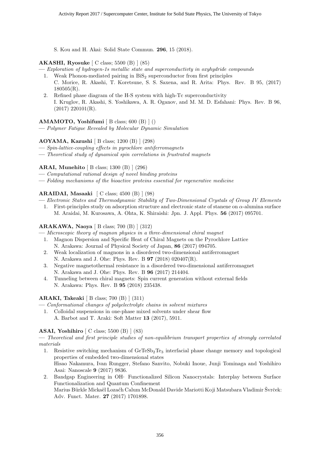S. Kou and H. Akai: Solid State Commun. 296, 15 (2018).

#### AKASHI, Ryosuke [ C class; 5500 (B) ] (85)

- Exploration of hydrogen-1s metallic state and superconductivty in oxyhydride compounds
	- 1. Weak Phonon-mediated pairing in  $BiS<sub>2</sub>$  superconductor from first principles C. Morice, R. Akashi, T. Koretsune, S. S. Saxena, and R. Arita: Phys. Rev. B 95, (2017) 180505(R).
	- 2. Refined phase diagram of the H-S system with high-Tc superconductivity I. Kruglov, R. Akashi, S. Yoshikawa, A. R. Oganov, and M. M. D. Esfahani: Phys. Rev. B 96,  $(2017)$  220101(R).

#### AMAMOTO, Yoshifumi [ B class; 600 (B) ] ()

— Polymer Fatigue Revealed by Molecular Dynamic Simulation

#### AOYAMA, Kazushi [ B class; 1200 (B) ] (298)

- Spin-lattice-coupling effects in pyrochlore antiferromagnets
- Theoretical study of dynamical spin correlations in frustrated magnets

#### ARAI, Munehito [ B class; 1300 (B) ] (296)

- Computational rational design of novel binding proteins
- Folding mechanisms of the bioactive proteins essential for regenerative medicine

#### ARAIDAI, Masaaki [ C class; 4500 (B) ] (98)

— Electronic States and Thermodynamic Stability of Two-Dimensional Crystals of Group IV Elements

1. First-principles study on adsorption structure and electronic state of stanene on  $\alpha$ -alumina surface M. Araidai, M. Kurosawa, A. Ohta, K. Shiraishi: Jpn. J. Appl. Phys. 56 (2017) 095701.

#### ARAKAWA, Naoya [ B class; 700 (B) ] (312)

- Microscopic theory of magnon physics in a three-dimensional chiral magnet
	- 1. Magnon Dispersion and Specific Heat of Chiral Magnets on the Pyrochlore Lattice N. Arakawa: Journal of Physical Society of Japan, 86 (2017) 094705.
	- 2. Weak localization of magnons in a disordered two-dimensional antiferromagnet N. Arakawa and J. Ohe: Phys. Rev. B 97 (2018) 020407(R).
	- 3. Negative magnetothermal resistance in a disordered two-dimensional antiferromagnet N. Arakawa and J. Ohe: Phys. Rev. B 96 (2017) 214404.
	- 4. Tunneling between chiral magnets: Spin current generation without external fields N. Arakawa: Phys. Rev. B 95 (2018) 235438.

#### ARAKI, Takeaki [ B class; 700 (B) ] (311)

- Conformational changes of polyelectrolyte chains in solvent mixtures
	- 1. Colloidal suspensions in one-phase mixed solvents under shear flow
		- A. Barbot and T. Araki: Soft Matter 13 (2017), 5911.

#### ASAI, Yoshihiro [ C class; 5500 (B) ] (83)

— Theoretical and first principle studies of non-equilibrium transport properties of strongly correlated materials

- 1. Resistive switching mechanism of  $GeTeSb<sub>2</sub>Te<sub>3</sub>$  interfacial phase change memory and topological properties of embedded two-dimensional states Hisao Nakamura, Ivan Rungger, Stefano Sanvito, Nobuki Inoue, Junji Tominaga and Yoshihiro Asai: Nanoscale 9 (2017) 9836.
- 2. Bandgap Engineering in OH Functionalized Silicon Nanocrystals: Interplay between Surface Functionalization and Quantum Confinement Marius Bürkle Mickaël Lozach Calum McDonald Davide Mariotti Koji Matsubara Vladimir Švrček: Adv. Funct. Mater. 27 (2017) 1701898.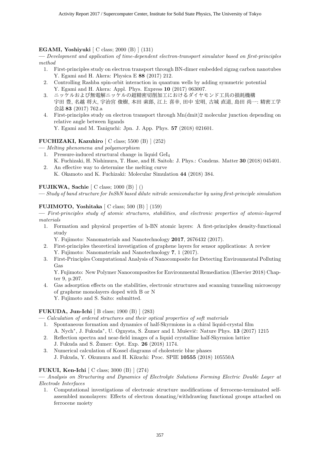#### EGAMI, Yoshiyuki [ C class; 2000 (B) ] (131)

— Development and application of time-dependent electron-transport simulator based on first-principles method

- 1. First-principles study on electron transport through BN-dimer embedded zigzag carbon nanotubes Y. Egami and H. Akera: Physica E 88 (2017) 212.
- 2. Controlling Rashba spin-orbit interaction in quantum wells by adding symmetric potential Y. Egami and H. Akera: Appl. Phys. Express 10 (2017) 063007.
- 3. ニッケルおよび無電解ニッケルの超精密切削加工におけるダイヤモンド工具の損耗機構 字田 豊, 名越 将大, 宇治宮 俊樹, 本田 索郎, 江上 喜幸, 田中 宏明, 古城 直道, 島田 尚一: 精密工学 会誌 83 (2017) 762.a
- 4. First-principles study on electron transport through Mn(dmit)2 molecular junction depending on relative angle between ligands Y. Egami and M. Taniguchi: Jpn. J. App. Phys. 57 (2018) 021601.

#### FUCHIZAKI, Kazuhiro [ C class; 5500 (B) ] (252)

- Melting phenomena and polyamorphism
	- 1. Pressure-induced structural change in liquid GeI<sup>4</sup>
	- K. Fuchizaki, H. Nishimura, T. Hase, and H. Saitoh: J. Phys.: Condens. Matter 30 (2018) 045401. 2. An effective way to determine the melting curve
		- K. Okamoto and K. Fuchizaki: Molecular Simulation 44 (2018) 384.

#### FUJIKWA, Sachie [ C class; 1000 (B) ] ()

— Study of band structure for InSbN based dilute nitride semiconductor by using first-principle simulation

#### FUJIMOTO, Yoshitaka [ C class; 500 (B) ] (159)

— First-principles study of atomic structures, stabilities, and electronic properties of atomic-layered materials

- 1. Formation and physical properties of h-BN atomic layers: A first-principles density-functional study
	- Y. Fujimoto: Nanomaterials and Nanotechnology 2017, 2676432 (2017).
- 2. First-principles theoretical investigation of graphene layers for sensor applications: A review Y. Fujimoto: Nanomaterials and Nanotechnology 7, 1 (2017).
- 3. First-Principles Computational Analysis of Nanocomposite for Detecting Environmental Polluting Gas

Y. Fujimoto: New Polymer Nanocomposites for Environmental Remediation (Elsevier 2018) Chapter 9, p.207.

4. Gas adsorption effects on the stabilities, electronic structures and scanning tunneling microscopy of graphene monolayers doped with B or N Y. Fujimoto and S. Saito: submitted.

#### FUKUDA, Jun-Ichi [ B class; 1900 (B) ] (283)

- Calculation of ordered structures and their optical properties of soft materials
- 1. Spontaneous formation and dynamics of half-Skyrmions in a chiral liquid-crystal film A. Nych<sup>∗</sup>, J. Fukuda<sup>∗</sup>, U. Ognysta, S. Žumer and I. Muševič: Nature Phys. **13** (2017) 1215
- 2. Reflection spectra and near-field images of a liquid crystalline half-Skyrmion lattice J. Fukuda and S. Žumer: Opt. Exp. **26** (2018) 1174.
- 3. Numerical calculation of Kossel diagrams of cholesteric blue phases J. Fukuda, Y. Okumura and H. Kikuchi: Proc. SPIE 10555 (2018) 105550A

#### FUKUI, Ken-Ichi [ C class; 3000 (B) ] (274)

— Analysis on Structuring and Dynamics of Electrolyte Solutions Forming Electric Double Layer at Electrode Interfaces

1. Computational investigations of electronic structure modifications of ferrocene-terminated selfassembled monolayers: Effects of electron donating/withdrawing functional groups attached on ferrocene moiety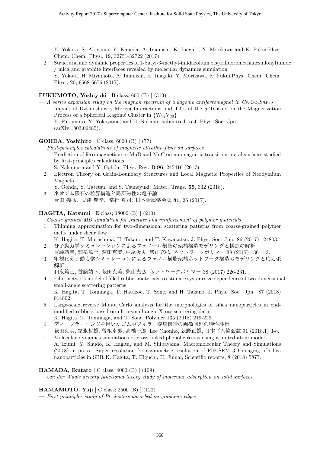Y. Yokota, S. Akiyama, Y. Kaneda, A. Imanishi, K. Inagaki, Y. Morikawa and K. Fukui:Phys. Chem. Chem. Phys., 19, 32751-32722 (2017).

2. Structural and dynamic properties of 1-butyl-3-methyl-imidazolium bis(trifluoromethanesulfonyl)imide / mica and graphite interfaces revealed by molecular dynamics simulation Y. Yokota, H. Miyamoto, A. Imanishi, K. Inagaki, Y. Morikawa, K. Fukui:Phys. Chem. Chem. Phys., 20, 6668-6676 (2017).

#### FUKUMOTO, Yoshiyuki [ B class; 600 (B) ] (313)

- $-A$  series expansion study on the magnon spectrum of a kagome antiferromagnet in  $Cs_2Cu_3SnF_{12}$
- 1. Impact of Dzyaloshinsky-Moriya Interactions and Tilts of the g Tensors on the Magnetization Process of a Spherical Kagomé Cluster in  ${W_{72}V_{30}}$ Y. Fukumoto, Y. Yokoyama, and H. Nakano: submitted to J. Phys. Soc. Jpn. (arXiv:1803.06485).

#### GOHDA, Yoshihiro [ C class; 6000 (B) ] (77)

- First-principles calculations of magnetic ultrathin films on surfaces
	- 1. Prediction of ferromagnetism in MnB and MnC on nonmagnetic transition-metal surfaces studied by first-principles calculations
		- S. Nakamura and Y. Gohda: Phys. Rev. B 96, 245416 (2017).
	- 2. Electron Theory on Grain-Boundary Structures and Local Magnetic Properties of Neodymium Magnets
	- Y. Gohda, Y. Tatetsu, and S. Tsuneyuki: Mater. Trans. 59, 332 (2018).
	- 3. ネオジム磁石の粒界構造と局所磁性の電子論 合田 義弘、立津 慶幸、常行 真司: 日本金属学会誌 81, 26 (2017).

#### HAGITA, Katsumi [ E class; 18000 (B) ] (210)

— Coarse grained MD simulation for fracture and reinforcement of polymer materials

1. Thinning approximation for two-dimensional scattering patterns from coarse-grained polymer melts under shear flow

K. Hagita, T. Murashima, H. Takano, and T. Kawakatsu, J. Phys. Soc. Jpn. 86 (2017) 124803.

- 2. 分子動力学シミュレーションによるフェノール樹脂の架橋構造モデリングと構造の解析 首藤靖幸, 和泉篤士, 萩田克美, 中尾俊夫, 柴山充弘, ネットワークポリマー 38 (2017) 136-143.
- 3. 粗視化分子動力学シミュレーョンによるフェノル樹脂架橋ネットワーク構造のモデリングと応力歪 解析

和泉篤士, 首藤靖幸, 萩田克美, 柴山充弘, ネットワークポリマー 38 (2017) 226-231.

4. Filler network model of filled rubber materials to estimate system size dependence of two-dimensional small-angle scattering patterns

K. Hagita, T. Tominaga, T. Hatazoe, T. Sone, and H. Takano, J. Phys. Soc. Jpn. 87 (2018) 014802.

- 5. Large-scale reverse Monte Carlo analysis for the morphologies of silica nanoparticles in endmodified rubbers based on ultra-small-angle X-ray scattering data
- K. Hagita, T. Tominaga, and T. Sone, Polymer 135 (2018) 219-229. 6. ディープラーニングを用いたゴム中フィラー凝集構造の画像判別の特性評価
- 萩田克美, 冨永哲雄, 曽根卓男, 高橋一郎, Lee Chonho, 荻野正雄, 日本ゴム協会誌 91 (2018.1) 3-8. 7. Molecular dynamics simulations of cross-linked phenolic resins using a united-atom model
- A. Izumi, Y. Shudo, K. Hagita, and M. Shibayama, Macromolecular Theory and Simulations (2018) in press. Super resolution for asymmetric resolution of FIB-SEM 3D imaging of silica nanoparticles in SBR K. Hagita, T. Higuchi, H. Jinnai, Scientific reports, 8 (2018) 5877.

#### HAMADA, Ikutaro [ C class; 4000 (B) ] (109)

— van der Waals density functional theory study of molecular adsorption on solid surfaces

#### HAMAMOTO, Yuji [ C class; 2500 (B) ] (122)

 $-$  First principles study of Pt clusters adsorbed on graphene edges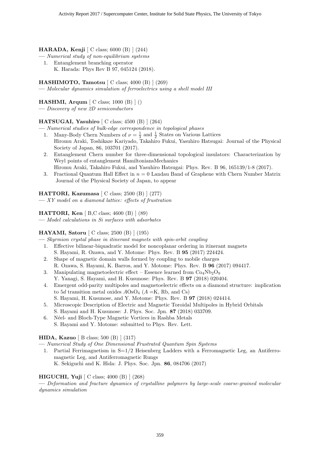#### HARADA, Kenji [ C class; 6000 (B) ] (244)

- Numerical study of non-equilibrium systems
- 1. Entanglement branching operator
	- K. Harada: Phys Rev B 97, 045124 (2018).

#### **HASHIMOTO, Tamotsu**  $\lbrack$  C class; 4000  $\lbrack$ B)  $\rbrack$  (269)

— Molecular dynamics simulation of ferroelectrics using a shell model III

#### HASHMI, Arqum [ C class; 1000 (B) ] ()

— Discovery of new 2D semiconductors

#### HATSUGAI, Yasuhiro  $\lceil C \text{ class}; 4500 \text{ (B)} \rceil$  (264)

— Numerical studies of bulk-edge correspondence in topological phases

- 1. Many-Body Chern Numbers of  $\nu = \frac{1}{3}$  and  $\frac{1}{2}$  States on Various Lattices Hiromu Araki, Toshikaze Kariyado, Takahiro Fukui, Yasuhiro Hatsugai: Journal of the Physical Society of Japan, 86, 103701 (2017).
- 2. Entanglement Chern number for three-dimensional topological insulators: Characterization by Weyl points of entanglement HamiltoniansMechanics Hiromu Araki, Takahiro Fukui, and Yasuhiro Hatsugai: Phys. Rev. B 96, 165139/1-8 (2017).
- 3. Fractional Quantum Hall Effect in  $n = 0$  Landau Band of Graphene with Chern Number Matrix Journal of the Physical Society of Japan, to appear

#### HATTORI, Kazumasa [ C class; 2500 (B) ] (277)

— XY model on a diamond lattice: effects of frustration

#### HATTORI, Ken [ B,C class; 4600 (B) ] (89)

— Model calculations in Si surfaces with adsorbates

#### HAYAMI, Satoru [ C class; 2500 (B) ] (195)

— Skyrmion crystal phase in itinerant magnets with spin-orbit coupling

- 1. Effective bilinear-biquadratic model for noncoplanar ordering in itinerant magnets S. Hayami, R. Ozawa, and Y. Motome: Phys. Rev. B 95 (2017) 224424.
- 2. Shape of magnetic domain walls formed by coupling to mobile charges R. Ozawa, S. Hayami, K. Barros, and Y. Motome: Phys. Rev. B 96 (2017) 094417.
- 3. Manipulating magnetoelectric effect Essence learned from  $Co<sub>4</sub>Nb<sub>2</sub>O<sub>9</sub>$ Y. Yanagi, S. Hayami, and H. Kusunose: Phys. Rev. B 97 (2018) 020404.
- 4. Emergent odd-parity multipoles and magnetoelectric effects on a diamond structure: implication to 5d transition metal oxides  $AOSO<sub>4</sub>$  (A =K, Rb, and Cs)
	- S. Hayami, H. Kusunose, and Y. Motome: Phys. Rev. B 97 (2018) 024414.
- 5. Microscopic Description of Electric and Magnetic Toroidal Multipoles in Hybrid Orbitals S. Hayami and H. Kusunose: J. Phys. Soc. Jpn. 87 (2018) 033709.
- 6. Néel- and Bloch-Type Magnetic Vortices in Rashba Metals S. Hayami and Y. Motome: submitted to Phys. Rev. Lett.

#### HIDA, Kazuo [ B class; 500 (B) ] (317)

— Numerical Study of One Dimensional Frustrated Quantum Spin Systems

1. Partial Ferrimagnetism in  $S=1/2$  Heisenberg Ladders with a Ferromagnetic Leg, an Antiferromagnetic Leg, and Antiferromagnetic Rungs K. Sekiguchi and K. Hida: J. Phys. Soc. Jpn. 86, 084706 (2017)

#### HIGUCHI, Yuji [ C class; 4000 (B) ] (268)

— Deformation and fracture dynamics of crystalline polymers by large-scale coarse-grained molecular dynamics simulation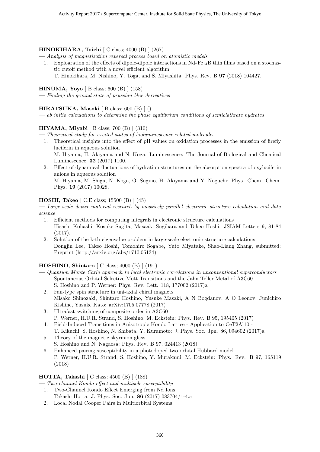#### HINOKIHARA, Taichi [ C class; 4000 (B) ] (267)

— Analysis of magnetization reversal process based on atomistic models

- 1. Exploaration of the effects of dipole-dipole interactions in  $Nd_2Fe_{14}B$  thin films based on a stochastic cutoff method with a novel efficient algorithm
	- T. Hinokihara, M. Nishino, Y. Toga, and S. Miyashita: Phys. Rev. B 97 (2018) 104427.

#### HINUMA, Yoyo [ B class; 600 (B) ] (158)

— Finding the ground state of prussian blue derivatives

#### HIRATSUKA, Masaki  $[B \text{ class}; 600 (B) ]()$

 $\frac{d}{dt}$  initio calculations to determine the phase equilibrium conditions of semiclathrate hydrates

#### HIYAMA, Miyabi [ B class; 700 (B) ] (310)

— Theoretical study for excited states of bioluminescence related molecules

- 1. Theoretical insights into the effect of pH values on oxidation processes in the emission of firefly luciferin in aqueous solution M. Hiyama, H. Akiyama and N. Koga: Luminescence: The Journal of Biological and Chemical
- Luminescence, 32 (2017) 1100. 2. Effect of dynamical fluctuations of hydration structures on the absorption spectra of oxyluciferin
- anions in aqueous solution M. Hiyama, M. Shiga, N. Koga, O. Sugino, H. Akiyama and Y. Noguchi: Phys. Chem. Chem. Phys. 19 (2017) 10028.

#### HOSHI, Takeo [ C,E class; 15500 (B) ] (45)

— Large-scale device-material research by massively parallel electronic structure calculation and data science

- 1. Efficient methods for computing integrals in electronic structure calculations Hisashi Kohashi, Kosuke Sugita, Masaaki Sugihara and Takeo Hoshi: JSIAM Letters 9, 81-84 (2017).
- 2. Solution of the k-th eigenvalue problem in large-scale electronic structure calculations Dongjin Lee, Takeo Hoshi, Tomohiro Sogabe, Yuto Miyatake, Shao-Liang Zhang, submitted; Preprint (http://arxiv.org/abs/1710.05134)

#### HOSHINO, Shintaro [ C class; 4000 (B) ] (191)

— Quantum Monte Carlo approach to local electronic correlations in unconventional superconductors

- 1. Spontaneous Orbital-Selective Mott Transitions and the Jahn-Teller Metal of A3C60 S. Hoshino and P. Werner: Phys. Rev. Lett. 118, 177002 (2017)a
- 2. Fan-type spin structure in uni-axial chiral magnets Misako Shinozaki, Shintaro Hoshino, Yusuke Masaki, A N Bogdanov, A O Leonov, Junichiro Kishine, Yusuke Kato: arXiv:1705.07778 (2017)
- 3. Ultrafast switching of composite order in A3C60 P. Werner, H.U.R. Strand, S. Hoshino, M. Eckstein: Phys. Rev. B 95, 195405 (2017)
- 4. Field-Induced Transitions in Anisotropic Kondo Lattice Application to CeT2Al10 T. Kikuchi, S. Hoshino, N. Shibata, Y. Kuramoto: J. Phys. Soc. Jpn. 86, 094602 (2017)a
- 5. Theory of the magnetic skyrmion glass S. Hoshino and N. Nagaosa: Phys. Rev. B 97, 024413 (2018)
- 6. Enhanced pairing susceptibility in a photodoped two-orbital Hubbard model P. Werner, H.U.R. Strand, S. Hoshino, Y. Murakami, M. Eckstein: Phys. Rev. B 97, 165119 (2018)

#### HOTTA, Takashi [ C class; 4500 (B) ] (188)

— Two-channel Kondo effect and multipole susceptibility

- 1. Two-Channel Kondo Effect Emerging from Nd Ions Takashi Hotta: J. Phys. Soc. Jpn. 86 (2017) 083704/1-4.a
- 2. Local Nodal Cooper Pairs in Multiorbital Systems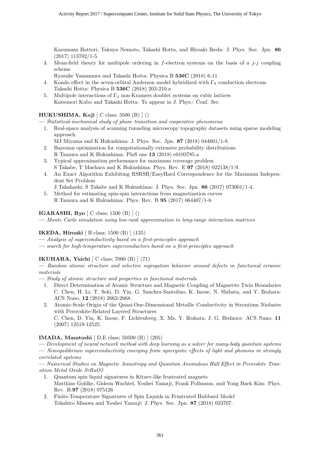Kazumasa Hattori, Takuya Nomoto, Takashi Hotta, and Hiroaki Ikeda: J. Phys. Soc. Jpn. 86 (2017) 113702/1-5.

- 3. Mean-field theory for multipole ordering in f-electron systems on the basis of a  $j-i$  coupling scheme
	- Ryosuke Yamamura and Takashi Hotta: Physica B 536C (2018) 6-11.
- 4. Kondo effect in the seven-orbital Anderson model hybridized with  $\Gamma_8$  conduction electrons Takashi Hotta: Physica B 536C (2018) 203-210.a
- 5. Multipole interactions of  $\Gamma_3$  non-Kramers doublet systems on cubic lattices Katsunori Kubo and Takashi Hotta: To appear in J. Phys.: Conf. Ser.

#### HUKUSHIMA, Koji  $\lceil$  C class; 3500  $\lceil$  ()  $\rceil$  ()

— Statistical-mechanical study of phase transition and cooperative phenomena

- 1. Real-space analysis of scanning tunneling microscopy topography datasets using sparse modeling approach
	- MJ Miyama and K Hukushima: J. Phys. Soc. Jpn. 87 (2018) 044801/1-8.
- 2. Bayesian optimization for computationally extensive probability distributions R Tamura and K Hukushima: PloS one 13 (2018) e0193785.a
- 3. Typical approximation performance for maximum coverage problem S Takabe, T Maehara and K Hukushima: Phys. Rev. E 97 (2018) 022138/1-9.
- 4. An Exact Algorithm Exhibiting RSRSB/EasyHard Correspondence for the Maximum Independent Set Problem
- J Takahashi, S Takabe and K Hukushima: J. Phys. Soc. Jpn. 86 (2017) 073001/1-4.
- 5. Method for estimating spin-spin interactions from magnetization curves R Tamura and K Hukushima: Phys. Rev. B 95 (2017) 064407/1-8.

#### IGARASHI, Ryo [ C class; 1500 (B) ] ()

— Monte Carlo simulation using low-rank approximation to long-range interaction matrices

#### IKEDA, Hiroaki [ B class; 1500 (B) ] (135)

- Analysis of superconductivity based on a first-principles approach
- search for high-temperature superconductors based on a first-principles approach

#### IKUHARA, Yuichi [ C class; 7000 (B) ] (71)

— Random atomic structure and selective segregation behavior around defects in functional ceramic materials

- Study of atomic structure and properties in functional materials
	- 1. Direct Determination of Atomic Structure and Magnetic Coupling of Magnetite Twin Boundaries C. Chen, H. Li, T. Seki, D. Yin, G. Sanchez-Santolino, K. Inoue, N. Shibata, and Y. Ikuhara: ACS Nano, 12 (2018) 2662-2668.
	- 2. Atomic-Scale Origin of the Quasi-One-Dimensional Metallic Conductivity in Strontium Niobates with Perovskite-Related Layered Structures C. Chen, D. Yin, K. Inoue, F. Lichtenberg, X. Ma, Y. Ikuhara, J. G. Bednorz: ACS Nano, 11

(2007) 12519-12525.

#### IMADA, Masatoshi [ D,E class; 50500 (B) ] (205)

— Development of neural network method with deep learning as a solver for many-body quantum systems — Nonequilibrium superconductivity emerging from synergistic effects of light and phonons in strongly correlated systems

— Numerical Studies on Magnetic Anisotropy and Quantum Anomalous Hall Effect in Perovskite Transition Metal Oxide SrRuO3

- 1. Quantum spin liquid signatures in Kitaev-like frustrated magnets Matthias Gohlke, Gideon Wachtel, Youhei Yamaji, Frank Pollmann, and Yong Baek Kim: Phys. Rev. B.97 (2018) 075126
- 2. Finite-Temperature Signatures of Spin Liquids in Frustrated Hubbard Model Takahiro Misawa and Youhei Yamaji: J. Phys. Soc. Jpn. 87 (2018) 023707.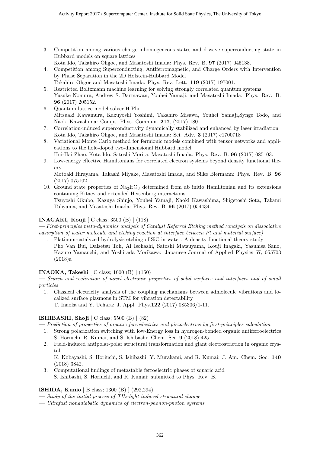3. Competition among various charge-inhomogeneous states and d-wave superconducting state in Hubbard models on square lattices

Kota Ido, Takahiro Ohgoe, and Masatoshi Imada: Phys. Rev. B. 97 (2017) 045138.

- 4. Competition among Superconducting, Antiferromagnetic, and Charge Orders with Intervention by Phase Separation in the 2D Holstein-Hubbard Model
- Takahiro Ohgoe and Masatoshi Imada: Phys. Rev. Lett. 119 (2017) 197001. 5. Restricted Boltzmann machine learning for solving strongly correlated quantum systems Yusuke Nomura, Andrew S. Darmawan, Youhei Yamaji, and Masatoshi Imada: Phys. Rev. B. 96 (2017) 205152.
- 6. Quantum lattice model solver H Phi Mitsuaki Kawamura, Kazuyoshi Yoshimi, Takahiro Misawa, Youhei Yamaji,Synge Todo, and Naoki Kawashima: Compt. Phys. Commun. 217, (2017) 180.
- 7. Correlation-induced superconductivity dynamically stabilized and enhanced by laser irradiation Kota Ido, Takahiro Ohgoe, and Masatoshi Imada: Sci. Adv. 3 (2017) e1700718 .
- 8. Variational Monte Carlo method for fermionic models combined with tensor networks and applications to the hole-doped two-dimensional Hubbard model

Hui-Hai Zhao, Kota Ido, Satoshi Morita, Masatoshi Imada: Phys. Rev. B. 96 (2017) 085103.

9. Low-energy effective Hamiltonians for correlated electron systems beyond density functional theory

Motoaki Hirayama, Takashi Miyake, Masatoshi Imada, and Silke Biermann: Phys. Rev. B. 96 (2017) 075102.

10. Ground state properties of  $\text{Na}_2\text{IrO}_3$  determined from ab initio Hamiltonian and its extensions containing Kitaev and extended Heisenberg interactions

Tsuyoshi Okubo, Kazuya Shinjo, Youhei Yamaji, Naoki Kawashima, Shigetoshi Sota, Takami Tohyama, and Masatoshi Imada: Phys. Rev. B. 96 (2017) 054434.

#### INAGAKI, Kouji [ C class; 3500 (B) ] (118)

— First-principles meta-dynamics analysis of Catalyst Referred Etching method (analysis on dissociative adsorption of water molecule and etching reaction at interface between Pt and material surface)

1. Platinum-catalyzed hydrolysis etching of SiC in water: A density functional theory study Pho Van Bui, Daisetsu Toh, Ai Isohashi, Satoshi Matsuyama, Kouji Inagaki, Yasuhisa Sano, Kazuto Yamauchi, and Yoshitada Morikawa: Japanese Journal of Applied Physics 57, 055703 (2018)a

#### INAOKA, Takeshi [ C class; 1000 (B) ] (150)

— Search and realization of novel electronic properties of solid surfaces and interfaces and of small particles

- 1. Classical electricity analysis of the coupling mechanisms between admolecule vibrations and localized surface plasmons in STM for vibration detectability
	- T. Inaoka and Y. Uehara: J. Appl. Phys.122 (2017) 085306/1-11.

#### ISHIBASHI, Shoji [ C class; 5500 (B) ] (82)

- Prediction of properties of organic ferroelectrics and piezoelectrics by first-principles calculation
- 1. Strong polarization switching with low-Energy loss in hydrogen-bonded organic antiferroelectrics S. Horiuchi, R. Kumai, and S. Ishibashi: Chem. Sci. 9 (2018) 425.
- 2. Field-induced antipolar-polar structural transformation and giant electrostriction in organic crystal

K. Kobayashi, S. Horiuchi, S. Ishibashi, Y. Murakami, and R. Kumai: J. Am. Chem. Soc. 140 (2018) 3842.

3. Computational findings of metastable ferroelectric phases of squaric acid S. Ishibashi, S. Horiuchi, and R. Kumai: submitted to Phys. Rev. B.

#### ISHIDA, Kunio [ B class; 1300 (B) ] (292,294)

- Study of the initial process of THz-light induced structural change
- Ultrafast nonadiabatic dynamics of electron-phonon-photon systems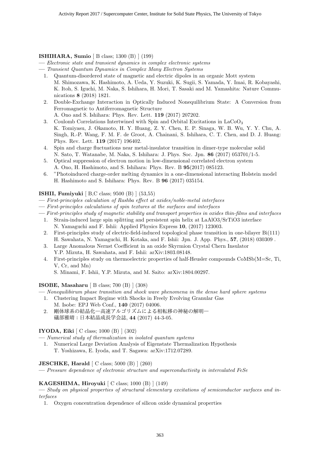#### ISHIHARA, Sumio [ B class; 1300 (B) ] (199)

— Electronic state and transient dynamics in complex electronic systems

- Transient Quantum Dynamics in Complex Many Electron Systems
	- 1. Quantum-disordered state of magnetic and electric dipoles in an organic Mott system M. Shimozawa, K. Hashimoto, A. Ueda, Y. Suzuki, K. Sugii, S. Yamada, Y. Imai, R. Kobayashi, K. Itoh, S. Iguchi, M. Naka, S. Ishihara, H. Mori, T. Sasaki and M. Yamashita: Nature Communications 8 (2018) 1821.
	- 2. Double-Exchange Interaction in Optically Induced Nonequilibrium State: A Conversion from Ferromagnetic to Antiferromagnetic Structure

A. Ono and S. Ishihara: Phys. Rev. Lett. 119 (2017) 207202.

- 3. Coulomb Correlations Intertwined with Spin and Orbital Excitations in  $LaCoO<sub>3</sub>$ K. Tomiyasu, J. Okamoto, H. Y. Huang, Z. Y. Chen, E. P. Sinaga, W. B. Wu, Y. Y. Chu, A. Singh, R.-P. Wang, F. M. F. de Groot, A. Chainani, S. Ishihara, C. T. Chen, and D. J. Huang: Phys. Rev. Lett. 119 (2017) 196402.
- 4. Spin and charge fluctuations near metal-insulator transition in dimer-type molecular solid N. Sato, T. Watanabe, M. Naka, S. Ishihara: J. Phys. Soc. Jpn. 86 (2017) 053701/1-5.
- 5. Optical suppression of electron motion in low-dimensional correlated electron system A. Ono, H. Hashimoto, and S. Ishihara: Phys. Rev. B 95(2017) 085123.
- 6. "Photoinduced charge-order melting dynamics in a one-dimensional interacting Holstein model H. Hashimoto and S. Ishihara: Phys. Rev. B 96 (2017) 035154.

#### ISHII, Fumiyuki [ B,C class; 9500 (B) ] (53,55)

- First-principles calculation of Rashba effect at oxides/noble-metal interfaces
- First-principles calculations of spin textures at the surfaces and interfaces
- First-principles study of magnetic stability and transport properties in oxides thin-films and interfaces
	- 1. Strain-induced large spin splitting and persistent spin helix at LaAlO3/SrTiO3 interface N. Yamaguchi and F. Ishii: Applied Physics Express 10, (2017) 123003.
	- 2. First-principles study of electric-field-induced topological phase transition in one-bilayer Bi(111) H. Sawahata, N. Yamaguchi, H. Kotaka, and F. Ishii: Jpn. J. App. Phys., 57, (2018) 030309 .
	- 3. Large Anomalous Nernst Coefficient in an oxide Skyrmion Crystal Chern Insulator Y.P. Mizuta, H. Sawahata, and F. Ishii: arXiv:1803.08148.
	- 4. First-principles study on thermoelectric properties of half-Heusler compounds CoMSb(M=Sc, Ti, V, Cr, and Mn)
		- S. Minami, F. Ishii, Y.P. Mizuta, and M. Saito: arXiv:1804.00297.

#### ISOBE, Masaharu [ B class; 700 (B) ] (308)

- Nonequilibirum phase transition and shock wave phenomena in the dense hard sphere systems
	- 1. Clustering Impact Regime with Shocks in Freely Evolving Granular Gas
	- M. Isobe: EPJ Web Conf., 140 (2017) 04006. 2. 剛体球系の結晶化―高速アルゴリズムによる相転移の神秘の解明― 礒部雅晴:日本結晶成長学会誌, 44 (2017) 44-3-05.

#### IYODA, Eiki [ C class; 1000 (B) ] (302)

— Numerical study of thermalization in isolated quantum systems

1. Numerical Large Deviation Analysis of Eigenstate Thermalization Hypothesis T. Yoshizawa, E. Iyoda, and T. Sagawa: arXiv:1712.07289.

#### **JESCHKE, Harald**  $\begin{bmatrix} C \ \text{class}; 5000 \ (B) \end{bmatrix} (260)$

— Pressure dependence of electronic structure and superconductivity in intercalated FeSe

#### KAGESHIMA, Hiroyuki [ C class; 1000 (B) ] (149)

— Study on physical properties of structural elementary excitations of semiconductor surfaces and interfaces

1. Oxygen concentration dependence of silicon oxide dynamical properties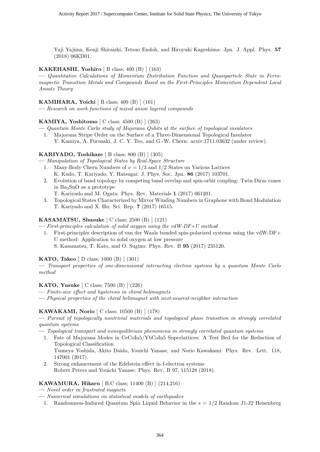Yuji Yajima, Kenji Shiraishi, Tetsuo Endoh, and Hiroyuki Kageshima: Jpn. J. Appl. Phys. 57 (2018) 06KD01.

#### KAKEHASHI, Yoshiro  $[B \text{ class}; 400 \ (B) ] (163)$

— Quantitative Calculations of Momentum Distribution Function and Quasiparticle State in Ferromagnetic Transition Metals and Compounds Based on the First-Principles Momentum Dependent Local Ansatz Theory

#### KAMIHARA, Yoichi [ B class; 400 (B) ] (161)

— Research on work functions of mixed anion layered compounds

#### KAMIYA, Yoshitomo  $\vert$  C class; 4500 (B)  $\vert$  (263)

- Quantum Monte Carlo study of Majorana Qubits at the surface of topological insulators
	- 1. Majorana Stripe Order on the Surface of a Three-Dimensional Topological Insulator Y. Kamiya, A. Furusaki, J. C. Y. Teo, and G.-W. Chern: arxiv:1711.03632 (under review).

#### KARIYADO, Toshikaze [ B class; 800 (B) ] (305)

- Manipulation of Topological States by Real-Space Structure
	- 1. Many-Body Chern Numbers of  $\nu = 1/3$  and  $1/2$  States on Various Lattices K. Kudo, T. Kariyado, Y. Hatsugai: J. Phys. Soc. Jpn. 86 (2017) 103701.
	- 2. Evolution of band topology by competing band overlap and spin-orbit coupling: Twin Dirac cones in  $Ba<sub>3</sub>SnO$  as a prototype

T. Kariyado and M. Ogata: Phys. Rev. Materials 1 (2017) 061201.

3. Topological States Characterized by Mirror Winding Numbers in Graphene with Bond Modulation T. Kariyado and X. Hu: Sci. Rep. 7 (2017) 16515.

#### KASAMATSU, Shusuke  $\lceil C \text{ class}; 2500 \text{ (B)} \rceil (121)$

 $-$  First-principles calculation of solid oxygen using the vdW-DF+U method

- 1. First-principles description of van der Waals bonded spin-polarized systems using the vdW-DF+ U method: Application to solid oxygen at low pressure
	- S. Kasamatsu, T. Kato, and O. Sugino: Phys. Rev. B 95 (2017) 235120.

#### KATO, Takeo [ D class; 1000 (B) ] (301)

— Transport properties of one-dimensional interacting electron systems by a quantum Monte Carlo method

#### KATO, Yusuke [ C class; 7500 (B) ] (226)

- Finite-size effect and hysteresis in chiral helimagnets
- Physical properties of the chiral helimagnet with next-nearest-neighbor interaction

#### KAWAKAMI, Norio [ C class; 10500 (B) ] (178)

— Pursuit of topologically nontrivial materials and topological phase transition in strongly correlated quantum systems

— Topological transport and nonequilibrium phenomena in strongly correlated quantum systems

- 1. Fate of Majorana Modes in CeCoIn5/YbCoIn5 Superlattices: A Test Bed for the Reduction of Topological Classification Tsuneya Yoshida, Akito Daido, Youichi Yanase, and Norio Kawakami: Phys. Rev. Lett. 118, 147001 (2017).
- 2. Strong enhancement of the Edelstein effect in f-electron systems Robert Peters and Youichi Yanase: Phys. Rev. B 97, 115128 (2018).

#### KAWAMURA, Hikaru [ B,C class; 11400 (B) ] (214,216)

- Novel order in frustrated magnets
- Numerical simulations on statistical models of earthquakes
	- 1. Randomness-Induced Quantum Spin Liquid Behavior in the s = 1/2 Random J1-J2 Heisenberg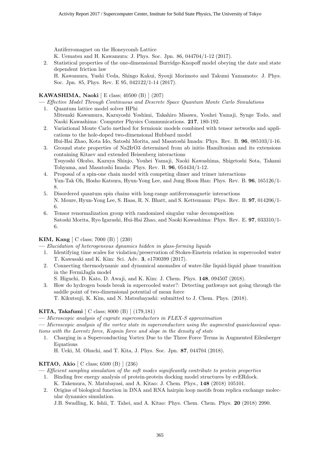Antiferromagnet on the Honeycomb Lattice

K. Uematsu and H. Kawamura: J. Phys. Soc. Jpn. 86, 044704/1-12 (2017).

2. Statistical properties of the one-dimensional Burridge-Knopoff model obeying the date and state dependent friction law

H. Kawamura, Yushi Ueda, Shingo Kakui, Syouji Morimoto and Takumi Yamamoto: J. Phys. Soc. Jpn. 85, Phys. Rev. E 95, 042122/1-14 (2017).

#### KAWASHIMA, Naoki [ E class; 40500 (B) ] (207)

- Effective Model Through Continuous and Descrete Space Quantum Monte Carlo Simulations
- 1. Quantum lattice model solver HPhi Mitsuaki Kawamura, Kazuyoshi Yoshimi, Takahiro Misawa, Youhei Yamaji, Synge Todo, and Naoki Kawashima: Computer Physics Communications. 217, 180-192.
- 2. Variational Monte Carlo method for fermionic models combined with tensor networks and applications to the hole-doped two-dimensional Hubbard model
- Hui-Hai Zhao, Kota Ido, Satoshi Morita, and Masatoshi Imada: Phys. Rev. B. 96, 085103/1-16. 3. Ground state properties of Na2IrO3 determined from ab initio Hamiltonian and its extensions containing Kitaev and extended Heisenberg interactions Tsuyoshi Okubo, Kazuya Shinjo, Youhei Yamaji, Naoki Kawashima, Shigetoshi Sota, Takami Tohyama, and Masatoshi Imada: Phys. Rev. B. 96, 054434/1-12.
- 4. Proposal of a spin-one chain model with competing dimer and trimer interactions Yun-Tak Oh, Hosho Katsura, Hyun-Yong Lee, and Jung Hoon Han: Phys. Rev. B. 96, 165126/1- 8.
- 5. Disordered quantum spin chains with long-range antiferromagnetic interactions N. Moure, Hyun-Yong Lee, S. Haas, R. N. Bhatt, and S. Kettemann: Phys. Rev. B. 97, 014206/1- 6.
- 6. Tensor renormalization group with randomized singular value decomposition Satoshi Morita, Ryo Igarashi, Hui-Hai Zhao, and Naoki Kawashima: Phys. Rev. E. 97, 033310/1- 6.

#### KIM, Kang [ C class; 7000 (B) ] (230)

— Elucidation of heterogeneous dynamics hidden in glass-forming liquids

- 1. Identifying time scales for violation/preservation of Stokes-Einstein relation in supercooled water T. Kawasaki and K. Kim: Sci. Adv. 3, e1700399 (2017).
- 2. Connecting thermodynamic and dynamical anomalies of water-like liquid-liquid phase transition in the FermiJagla model
	- S. Higuchi, D. Kato, D. Awaji, and K. Kim: J. Chem. Phys. 148, 094507 (2018).
- 3. How do hydrogen bonds break in supercooled water?: Detecting pathways not going through the saddle point of two-dimensional potential of mean force T. Kikutsuji, K. Kim, and N. Matsubayashi: submitted to J. Chem. Phys. (2018).

#### KITA, Takafumi [ C class; 8000 (B) ] (179,181)

— Microscopic analysis of cuprate superconductors in FLEX-S approximation

— Microscopic analysis of the vortex state in superconductors using the augmented quasiclassical equations with the Lorentz force, Kopnin force and slope in the density of state

1. Charging in a Superconducting Vortex Due to the Three Force Terms in Augmented Eilenberger Equations

H. Ueki, M. Ohuchi, and T. Kita, J. Phys. Soc. Jpn. 87, 044704 (2018).

#### KITAO, Akio [ C class; 6500 (B) ] (236)

— Efficient sampling simulation of the soft modes significantly contribute to protein properties

- 1. Binding free energy analysis of protein-protein docking model structures by evERdock.
- K. Takemura, N. Matubayasi, and A. Kitao: J. Chem. Phys., 148 (2018) 105101. 2. Origins of biological function in DNA and RNA hairpin loop motifs from replica exchange molecular dynamics simulation.

J.B. Swadling, K. Ishii, T. Tahei, and A. Kitao: Phys. Chem. Chem. Phys. 20 (2018) 2990.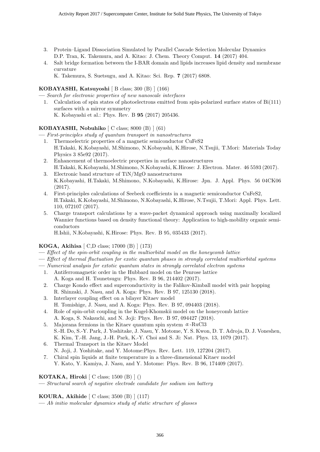- 3. Protein–Ligand Dissociation Simulated by Parallel Cascade Selection Molecular Dynamics D.P. Tran, K. Takemura, and A. Kitao: J. Chem. Theory Comput. 14 (2017) 404.
- 4. Salt bridge formation between the I-BAR domain and lipids increases lipid density and membrane curvature

K. Takemura, S. Suetsugu, and A. Kitao: Sci. Rep. 7 (2017) 6808.

#### KOBAYASHI, Katsuyoshi [ B class; 300 (B) ] (166)

- Search for electronic properties of new nanoscale interfaces
- 1. Calculation of spin states of photoelectrons emitted from spin-polarized surface states of Bi(111) surfaces with a mirror symmetry K. Kobayashi et al.: Phys. Rev. B 95 (2017) 205436.

#### KOBAYASHI, Nobuhiko [ C class; 8000 (B) ] (61)

— First-principles study of quantum transport in nanostructures

- 1. Thermoelectric properties of a magnetic semiconductor CuFeS2 H.Takaki, K.Kobayashi, M.Shimono, N.Kobayashi, K.Hirose, N.Tsujii, T.Mori: Materials Today Physics 3 85e92 (2017).
- 2. Enhancement of thermoelectric properties in surface nanostructures H.Takaki, K.Kobayashi, M.Shimono, N.Kobayashi, K.Hirose: J. Electron. Mater. 46 5593 (2017).
- 3. Electronic band structure of TiN/MgO nanostructures K.Kobayashi, H.Takaki, M.Shimono, N.Kobayashi, K.Hirose: Jpn. J. Appl. Phys. 56 04CK06 (2017).
- 4. First-principles calculations of Seebeck coefficients in a magnetic semiconductor CuFeS2, H.Takaki, K.Kobayashi, M.Shimono, N.Kobayashi, K.Hirose, N.Tsujii, T.Mori: Appl. Phys. Lett. 110, 072107 (2017).
- 5. Charge transport calculations by a wave-packet dynamical approach using maximally localized Wannier functions based on density functional theory: Application to high-mobility organic semiconductors

H.Ishii, N.Kobayashi, K.Hirose: Phys. Rev. B 95, 035433 (2017).

#### KOGA, Akihisa [ C,D class; 17000 (B) ] (173)

- Effect of the spin-orbit coupling in the multiorbital model on the honeycomb lattice
- Effect of thermal fluctuation for exotic quantum phases in strongly correlated multiorbital systems
- Numerical analysis for extotic quantum states in strongly correlated electron systems
	- 1. Antiferromagnetic order in the Hubbard model on the Penrose lattice A. Koga and H. Tsunetsugu: Phys. Rev. B 96, 214402 (2017).
	- 2. Charge Kondo effect and superconductivity in the Falikov-Kimball model with pair hopping R. Shinzaki, J. Nasu, and A. Koga: Phys. Rev. B 97, 125130 (2018).
	- 3. Interlayer coupling effect on a bilayer Kitaev model H. Tomishige, J. Nasu, and A. Koga: Phys. Rev. B 97, 094403 (2018).
	- 4. Role of spin-orbit coupling in the Kugel-Khomskii model on the honeycomb lattice A. Koga, S. Nakauchi, and N. Joji: Phys. Rev. B 97, 094427 (2018).
	- 5. Majorana fermions in the Kitaev quantum spin system  $\alpha$ -RuCl3 S.-H. Do, S.-Y. Park, J. Yoshitake, J. Nasu, Y. Motome, Y. S. Kwon, D. T. Adroja, D. J. Voneshen, K. Kim, T.-H. Jang, J.-H. Park, K.-Y. Choi and S. Ji: Nat. Phys. 13, 1079 (2017).
	- 6. Thermal Transport in the Kitaev Model
		- N. Joji, J. Yoshitake, and Y. Motome:Phys. Rev. Lett. 119, 127204 (2017).
	- 7. Chiral spin liquids at finite temperature in a three-dimensional Kitaev model Y. Kato, Y. Kamiya, J. Nasu, and Y. Motome: Phys. Rev. B 96, 174409 (2017).

#### KOTAKA, Hiroki  $[$  C class; 1500  $(B)$   $]$   $()$

— Structural search of negative electrode candidate for sodium ion battery

#### KOURA, Akihide [ C class; 3500 (B) ] (117)

— Ab initio molecular dynamics study of static structure of glasses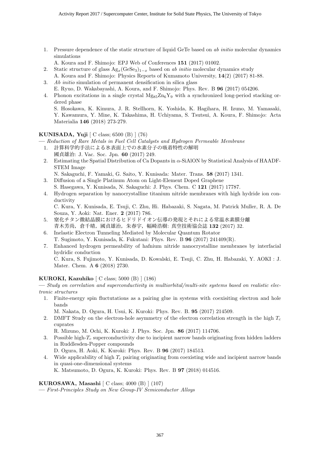1. Pressure dependence of the static structure of liquid GeTe based on ab initio molecular dynamics simulations

A. Koura and F. Shimojo: EPJ Web of Conferences 151 (2017) 01002.

- 2. Static structure of glass  $\text{Ag}_x(\text{GeSe}_3)_{1-x}$  based on ab initio molecular dynamics study
- A. Koura and F. Shimojo: Physics Reports of Kumamoto University, 14(2) (2017) 81-88.
- 3. Ab initio simulation of permanent densification in silica glass
- E. Ryuo, D. Wakabayashi, A. Koura, and F. Shimojo: Phys. Rev. B 96 (2017) 054206.
- 4. Phonon excitations in a single crystal  $Mg_{85}Zn_6Y_9$  with a synchronized long-period stacking ordered phase

S. Hosokawa, K. Kimura, J. R. Stellhorn, K. Yoshida, K. Hagihara, H. Izuno, M. Yamasaki, Y. Kawamura, Y. Mine, K. Takashima, H. Uchiyama, S. Tsutsui, A. Koura, F. Shimojo: Acta Materialia 146 (2018) 273-279.

#### KUNISADA, Yuji [ C class; 6500 (B) ] (76)

— Reduction of Rare Metals in Fuel Cell Catalysts and Hydrogen Permeable Membrane

- 1. 計算科学的手法による氷表面上での水素分子の吸着特性の解明 國貞雄治: J. Vac. Soc. Jpn. 60 (2017) 249.
- 2. Estimating the Spatial Distribution of Ca Dopants in α-SiAlON by Statistical Analysis of HAADF-STEM Image

N. Sakaguchi, F. Yamaki, G. Saito, Y. Kunisada: Mater. Trans. 58 (2017) 1341.

- 3. Diffusion of a Single Platinum Atom on Light-Element Doped Graphene S. Hasegawa, Y. Kunisada, N. Sakaguchi: J. Phys. Chem. C 121 (2017) 17787.
- 4. Hydrogen separation by nanocrystalline titanium nitride membranes with high hydride ion conductivity

C. Kura, Y. Kunisada, E. Tsuji, C. Zhu, Hi. Habazaki, S. Nagata, M. Patrick Muller, R. A. De Souza, Y. Aoki: Nat. Ener. 2 (2017) 786.

- 5. 窒化チタン微結晶膜におけるヒドリドイオン伝導の発現とそれによる常温水素膜分離 青木芳尚,倉千晴,國貞雄治,朱春宇,幅崎浩樹: 真空技術協会誌 132 (2017) 32.
- 6. Inelastic Electron Tunneling Mediated by Molecular Quantum Rotator T. Sugimoto, Y. Kunisada, K. Fukutani: Phys. Rev. B 96 (2017) 241409(R).
- 7. Enhanced hydrogen permeability of hafnium nitride nanocrystalline membranes by interfacial hydridic conduction

C. Kura, S. Fujimoto, Y. Kunisada, D. Kowalski, E. Tsuji, C. Zhu, H. Habazaki, Y. AOKI : J. Mater. Chem. A 6 (2018) 2730.

#### KUROKI, Kazuhiko [ C class; 5000 (B) ] (186)

— Study on correlation and superconductivity in multiorbital/multi-site systems based on realistic electronic structures

1. Finite-energy spin fluctutations as a pairing glue in systems with coexisiting electron and hole bands

M. Nakata, D. Ogura, H. Usui, K. Kuroki: Phys. Rev. B. 95 (2017) 214509.

2. DMFT Study on the electron-hole asymmetry of the electron correlation strength in the high  $T_c$ cuprates

R. Mizuno, M. Ochi, K. Kuroki: J. Phys. Soc. Jpn. 86 (2017) 114706.

- 3. Possible high- $T_c$  superconductivity due to incipient narrow bands originating from hidden ladders in Ruddlesden-Popper compounds
	- D. Ogura, H. Aoki, K. Kuroki: Phys. Rev. B 96 (2017) 184513.
- 4. Wide applicability of high  $T_c$  pairing originating from coexisting wide and incipient narrow bands in quasi-one-dimensional systems K. Matsumoto, D. Ogura, K. Kuroki: Phys. Rev. B 97 (2018) 014516.

KUROSAWA, Masashi [ C class; 4000 (B) ] (107)

— First-Principles Study on New Group-IV Semiconductor Alloys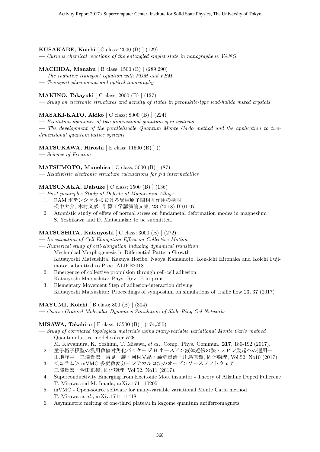#### KUSAKABE, Koichi [ C class; 2000 (B) ] (129)

— Curious chemical reactions of the entangled singlet state in nanographene VANG

#### MACHIDA, Manabu [ B class; 1500 (B) ] (289,290)

- The radiative transport equation with FDM and FEM
- Transport phenomena and optical tomography

#### MAKINO, Takayuki [ C class; 2000 (B) ] (127)

— Study on electronic structures and density of states in perovskite-type lead-halide mixed crystals

#### MASAKI-KATO, Akiko [ C class; 8000 (B) ] (224)

— Excitation dynamics of two-dimensional quantum spin systems

— The development of the parallelizable Quantum Monte Carlo method and the application to twodimensional quantum lattice systems

#### MATSUKAWA, Hiroshi [ E class; 11500 (B) ] ()

— Science of Friction

#### MATSUMOTO, Munehisa [ C class; 5000 (B) ] (87)

— Relativistic electronic structure calculations for f-d intermetallics

#### MATSUNAKA, Daisuke [ C class; 1500 (B) ] (136)

- First-principles Study of Defects of Magnesium Alloys
	- 1. EAM ポテンシャルにおける異種原子間相互作用の検討 松中大介, 木村文彦: 計算工学講演論文集, 23 (2018) B-01-07.
	- 2. Atomistic study of effets of normal stress on fundametal deformation modes in magnesium S. Yoshikawa and D. Matsunaka: to be submitted.

#### MATSUSHITA, Katsuyoshi [ C class; 3000 (B) ] (272)

— Investigation of Cell Elongation Effect on Collective Motion

- Numerical study of cell-elongation inducing dynamical transition
- 1. Mechanical Morphogenesis in Differential Pattern Growth Katsuyoshi Matsushita, Kazuya Horibe, Naoya Kamamoto, Ken-Ichi Hironaka and Koichi Fujimoto: submitted to Proc. ALIFE2018
- 2. Emergence of collective propulsion through cell-cell adhesion Katsuyoshi Matsushita: Phys. Rev. E in print
- 3. Elementary Movement Step of adhesion-interaction driving Katsuyoshi Matsushita: Proceedings of symposium on simulations of traffic flow 23, 37 (2017)

#### MAYUMI, Koichi [ B class; 800 (B) ] (304)

— Coarse-Grained Molecular Dynamics Simulation of Slide-Ring Gel Networks

#### MISAWA, Takahiro [ E class; 13500 (B) ] (174,350)

- Study of correlated topological materials using many-variable variational Monte Carlo method 1. Quantum lattice model solver  $H\Phi$ 
	- M. Kawamura, K. Yoshimi, T. Misawa, et al., Comp. Phys. Commun. 217, 180-192 (2017).
- 2. 量子格子模型の汎用数値対角化パッケージ H Φ-スピン液体近傍の熱·スピン励起への適用一 山地洋平・三澤貴宏・吉見一慶・河村光晶・藤堂眞治・川島直輝, 固体物理, Vol.52, No10 (2017).
- 3. <コラム>mVMC 多変数変分モンテカルロ法のオープンソースソフトウェア 三澤貴宏・今田正俊, 固体物理, Vol.52, No11 (2017).
- 4. Superconductivity Emerging from Excitonic Mott insulator Theory of Alkaline Doped Fullerene T. Misawa and M. Imada, arXiv:1711.10205
- 5. mVMC Open-source software for many-variable variational Monte Carlo method T. Misawa et al., arXiv:1711.11418
- 6. Asymmetric melting of one-third plateau in kagome quantum antiferromagnets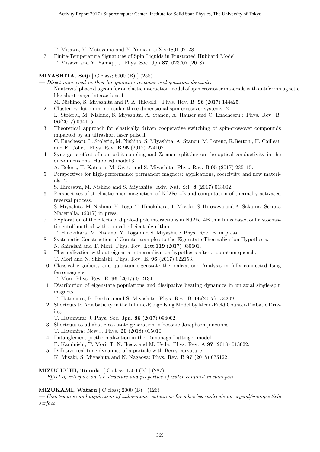T. Misawa, Y. Motoyama and Y. Yamaji, arXiv:1801.07128.

7. Finite-Temperature Signatures of Spin Liquids in Frustrated Hubbard Model T. Misawa and Y. Yamaji, J. Phys. Soc. Jpn 87, 023707 (2018).

#### MIYASHITA, Seiji [ C class; 5000 (B) ] (258)

— Direct numerical method for quantum response and quantum dynamics

- 1. Nontrivial phase diagram for an elastic interaction model of spin crossover materials with antiferromagneticlike short-range interactions.1
- M. Nishino, S. Miyashita and P. A. Rikvold : Phys. Rev. B. 96 (2017) 144425.
- 2. Cluster evolution in molecular three-dimensional spin-crossover systems. 2 L. Stoleriu, M. Nishino, S. Miyashita, A. Stancu, A. Hauser and C. Enachescu : Phys. Rev. B. 96(2017) 064115.
- 3. Theoretical approach for elastically driven cooperative switching of spin-crossover compounds impacted by an ultrashort laser pulse.1 C. Enachescu, L. Stoleriu, M. Nishino, S. Miyashita, A. Stancu, M. Lorenc, R.Bertoni, H. Cailleau and E. Collet: Phys. Rev. B.95 (2017) 224107.
- 4. Synergetic effect of spin-orbit coupling and Zeeman splitting on the optical conductivity in the one-dimensional Hubbard model.3

A. Bolens, H. Katsura, M. Ogata and S. Miyashita: Phys. Rev. B.95 (2017) 235115.

5. Perspectives for high-performance permanent magnets: applications, coercivity, and new materials. 2

S. Hirosawa, M. Nishino and S. Miyashita: Adv. Nat. Sci. 8 (2017) 013002.

6. Perspectives of stochastic micromagnetism of Nd2Fe14B and computation of thermally activated reversal process.

S. Miyashita, M. Nishino, Y. Toga, T. Hinokihara, T. Miyake, S. Hirosawa and A. Sakuma: Scripta Materialia. (2017) in press.

7. Exploration of the effects of dipole-dipole interactions in Nd2Fe14B thin films based onf a stochastic cutoff method with a novel efficient algorithm.

T. Hinokihara, M. Nishino, Y. Toga and S. Miyashita: Phys. Rev. B. in press.

- 8. Systematic Construction of Counterexamples to the Eigenstate Thermalization Hypothesis. N. Shiraishi and T. Mori: Phys. Rev. Lett.119 (2017) 030601.
- 9. Thermalization without eigenstate thermalization hypothesis after a quantum quench. T. Mori and N. Shiraishi: Phys. Rev. E. 96 (2017) 022153.
- 10. Classical ergodicity and quantum eigenstate thermalization: Analysis in fully connected Ising ferromagnets.
	- T. Mori: Phys. Rev. E. 96 (2017) 012134.
- 11. Distribution of eigenstate populations and dissipative beating dynamics in uniaxial single-spin magnets.
	- T. Hatomura, B. Barbara and S. Miyashita: Phys. Rev. B. 96(2017) 134309.
- 12. Shortcuts to Adiabaticity in the Infinite-Range Ising Model by Mean-Field Counter-Diabatic Driving.

T. Hatomura: J. Phys. Soc. Jpn. 86 (2017) 094002.

- 13. Shortcuts to adiabatic cat-state generation in bosonic Josephson junctions. T. Hatomira: New J. Phys. 20 (2018) 015010.
- 14. Entanglement prethermalization in the Tomonaga-Luttinger model. E. Kaminishi, T. Mori, T. N. Ikeda and M. Ueda: Phys. Rev. A 97 (2018) 013622.
- 15. Diffusive real-time dynamics of a particle with Berry curvature. K. Misaki, S. Miyashita and N. Nagaosa: Phys. Rev. B 97 (2018) 075122.

#### MIZUGUCHI, Tomoko [ C class; 1500 (B) ] (287)

— Effect of interface on the structure and properties of water confined in nanopore

#### MIZUKAMI, Wataru [ C class; 2000 (B) ] (126)

— Construction and application of anharmonic potentials for adsorbed molecule on crystal/nanoparticle surface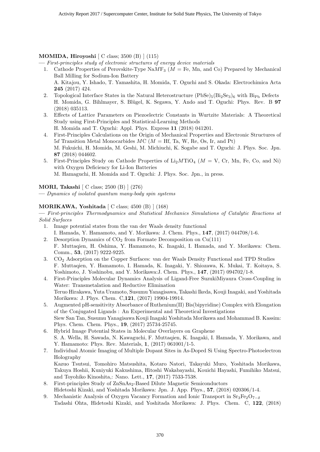#### MOMIDA, Hiroyoshi [ C class; 3500 (B) ] (115)

— First-principles study of electronic structures of energy device materials

- 1. Cathode Properties of Perovskite-Type  $\text{NaMF}_3$  ( $M = \text{Fe}$ , Mn, and Co) Prepared by Mechanical Ball Milling for Sodium-Ion Battery A. Kitajou, Y. Ishado, T. Yamashita, H. Momida, T. Oguchi and S. Okada: Electrochimica Acta 245 (2017) 424.
- 2. Topological Interface States in the Natural Heterostructure  $(PbSe)_{5}(Bi_{2}Se_{3})_{6}$  with  $Bip_{b}$  Defects H. Momida, G. Bihlmayer, S. Blügel, K. Segawa, Y. Ando and T. Oguchi: Phys. Rev. B 97 (2018) 035113.
- 3. Effects of Lattice Parameters on Piezoelectric Constants in Wurtzite Materials: A Theoretical Study using First-Principles and Statistical-Learning Methods H. Momida and T. Oguchi: Appl. Phys. Express 11 (2018) 041201.
- 4. First-Principles Calculations on the Origin of Mechanical Properties and Electronic Structures of 5d Transition Metal Monocarbides  $MC (M = Hf, Ta, W, Re, Os, Ir, and Pt)$ M. Fukuichi, H. Momida, M. Geshi, M. Michiuchi, K. Sogabe and T. Oguchi: J. Phys. Soc. Jpn. 87 (2018) 044602.
- 5. First-Principles Study on Cathode Properties of  $Li<sub>2</sub>MTiO<sub>4</sub>$  ( $M = V$ , Cr, Mn, Fe, Co, and Ni) with Oxygen Deficiency for Li-Ion Batteries M. Hamaguchi, H. Momida and T. Oguchi: J. Phys. Soc. Jpn., in press.

MORI, Takashi [ C class; 2500 (B) ] (276)

— Dynamics of isolated quantum many-body spin systems

#### MORIKAWA, Yoshitada [ C class; 4500 (B) ] (168)

— First-principles Thermodynamics and Statistical Mechanics Simulations of Catalytic Reactions at Solid Surfaces

- 1. Image potential states from the van der Waals density functional I. Hamada, Y. Hamamoto, and Y. Morikawa: J. Chem. Phys., 147, (2017) 044708/1-6.
- 2. Desorption Dynamics of  $CO<sub>2</sub>$  from Formate Decomposition on  $Cu(111)$ F. Muttaqien, H. Oshima, Y. Hamamoto, K. Inagaki, I. Hamada, and Y. Morikawa: Chem.
- Comm., 53, (2017) 9222-9225.
- 3. CO<sup>2</sup> Adsorption on the Copper Surfaces: van der Waals Density Functional and TPD Studies F. Muttaqien, Y. Hamamoto, I. Hamada, K. Inagaki, Y. Shiozawa, K. Mukai, T. Koitaya, S. Yoshimoto, J. Yoshinobu, and Y. Morikawa: J. Chem. Phys., **147**, (2017) 094702/1-8.
- 4. First-Principles Molecular Dynamics Analysis of Ligand-Free SuzukiMiyaura Cross-Coupling in Water: Transmetalation and Reductive Elimination Teruo Hirakawa, Yuta Uramoto, Susumu Yanagisawa, Takashi Ikeda, Kouji Inagaki, and Yoshitada Morikawa: J. Phys. Chem. C,121, (2017) 19904-19914.
- 5. Augmented pH-sensitivity Absorbance of Ruthenium(II) Bis(bipyridine) Complex with Elongation of the Conjugated Ligands : An Experimental and Theoretical Investigations Siew San Tan, Susumu Yanagisawa Kouji Inagaki Yoshitada Morikawa and Mohammad B. Kassim: Phys. Chem. Chem. Phys., 19, (2017) 25734-25745.
- 6. Hybrid Image Potential States in Molecular Overlayers on Graphene S. A. Wella, H. Sawada, N. Kawaguchi, F. Muttaqien, K. Inagaki, I. Hamada, Y. Morikawa, and Y. Hamamoto: Phys. Rev. Materials, 1, (2017) 061001/1-5.
- 7. Individual Atomic Imaging of Multiple Dopant Sites in As-Doped Si Using Spectro-Photoelectron Holography Kazuo Tsutsui, Tomohiro Matsushita, Kotaro Natori, Takayuki Muro, Yoshitada Morikawa, Takuya Hoshii, Kuniyuki Kakushima, Hitoshi Wakabayashi, Kouichi Hayashi, Fumihiko Matsui,

and Toyohiko Kinoshita,: Nano. Lett., 17, (2017) 7533-7538.

- 8. First-principles Study of ZnSnAs<sub>2</sub>-Based Dilute Magnetic Semiconductors
- Hidetoshi Kizaki, and Yoshitada Morikawa: Jpn. J. App. Phys., 57, (2018) 020306/1-4.
- 9. Mechanistic Analysis of Oxygen Vacancy Formation and Ionic Transport in  $S_{13}Fe_{2}O_{7-\delta}$ Tadashi Ohta, Hidetoshi Kizaki, and Yoshitada Morikawa: J. Phys. Chem. C, 122, (2018)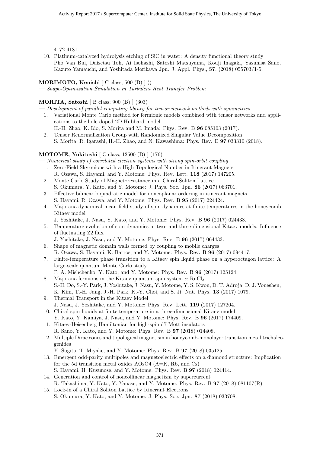4172-4181.

10. Platinum-catalyzed hydrolysis etching of SiC in water: A density functional theory study Pho Van Bui, Daisetsu Toh, Ai Isohashi, Satoshi Matsuyama, Kouji Inagaki, Yasuhisa Sano, Kazuto Yamauchi, and Yoshitada Morikawa Jpn. J. Appl. Phys., 57, (2018) 055703/1-5.

#### MORIMOTO, Kenichi  $\vert$  C class; 500 (B)  $\vert$  ()

— Shape-Optimization Simulation in Turbulent Heat Transfer Problem

#### MORITA, Satoshi [ B class; 900 (B) ] (303)

- Development of parallel computing library for tensor network methods with symmetries
- 1. Variational Monte Carlo method for fermionic models combined with tensor networks and applications to the hole-doped 2D Hubbard model H.-H. Zhao, K. Ido, S. Morita and M. Imada: Phys. Rev. B 96 085103 (2017).
- 2. Tensor Renormalization Group with Randomized Singular Value Decomposition S. Morita, R. Igarashi, H.-H. Zhao, and N. Kawashima: Phys. Rev. E 97 033310 (2018).

#### MOTOME, Yukitoshi [ C class; 12500 (B) ] (176)

— Numerical study of correlated electron systems with strong spin-orbit coupling

- 1. Zero-Field Skyrmions with a High Topological Number in Itinerant Magnets R. Ozawa, S. Hayami, and Y. Motome: Phys. Rev. Lett. 118 (2017) 147205.
- 2. Monte Carlo Study of Magnetoresistance in a Chiral Soliton Lattice S. Okumura, Y. Kato, and Y. Motome: J. Phys. Soc. Jpn. 86 (2017) 063701.
- 3. Effective bilinear-biquadratic model for noncoplanar ordering in itinerant magnets S. Hayami, R. Ozawa, and Y. Motome: Phys. Rev. B 95 (2017) 224424.
- 4. Majorana dynamical mean-field study of spin dynamics at finite temperatures in the honeycomb Kitaev model
	- J. Yoshitake, J. Nasu, Y. Kato, and Y. Motome: Phys. Rev. B 96 (2017) 024438.
- 5. Temperature evolution of spin dynamics in two- and three-dimensional Kitaev models: Influence of fluctuating Z2 flux
	- J. Yoshitake, J. Nasu, and Y. Motome: Phys. Rev. B 96 (2017) 064433.
- 6. Shape of magnetic domain walls formed by coupling to mobile charges R. Ozawa, S. Hayami, K. Barros, and Y. Motome: Phys. Rev. B 96 (2017) 094417.
- 7. Finite-temperature phase transition to a Kitaev spin liquid phase on a hyperoctagon lattice: A large-scale quantum Monte Carlo study P. A. Mishchenko, Y. Kato, and Y. Motome: Phys. Rev. B 96 (2017) 125124.
- 8. Majorana fermions in the Kitaev quantum spin system  $\alpha$ -RuCl<sub>3</sub> S.-H. Do, S.-Y. Park, J. Yoshitake, J. Nasu, Y. Motome, Y. S. Kwon, D. T. Adroja, D. J. Voneshen, K. Kim, T.-H. Jang, J.-H. Park, K.-Y. Choi, and S. Ji: Nat. Phys. 13 (2017) 1079.
- 9. Thermal Transport in the Kitaev Model
	- J. Nasu, J. Yoshitake, and Y. Motome: Phys. Rev. Lett. 119 (2017) 127204.
- 10. Chiral spin liquids at finite temperature in a three-dimensional Kitaev model Y. Kato, Y. Kamiya, J. Nasu, and Y. Motome: Phys. Rev. B 96 (2017) 174409.
- 11. Kitaev-Heisenberg Hamiltonian for high-spin d7 Mott insulators R. Sano, Y. Kato, and Y. Motome: Phys. Rev. B 97 (2018) 014408.
- 12. Multiple Dirac cones and topological magnetism in honeycomb-monolayer transition metal trichalcogenides
	- Y. Sugita, T. Miyake, and Y. Motome: Phys. Rev. B 97 (2018) 035125.
- 13. Emergent odd-parity multipoles and magnetoelectric effects on a diamond structure: Implication for the 5d transition metal oxides AOsO4 (A=K, Rb, and Cs) S. Hayami, H. Kusunose, and Y. Motome: Phys. Rev. B 97 (2018) 024414.
- 14. Generation and control of noncollinear magnetism by supercurrent
- R. Takashima, Y. Kato, Y. Yanase, and Y. Motome: Phys. Rev. B 97 (2018) 081107(R). 15. Lock-in of a Chiral Soliton Lattice by Itinerant Electrons
	- S. Okumura, Y. Kato, and Y. Motome: J. Phys. Soc. Jpn. 87 (2018) 033708.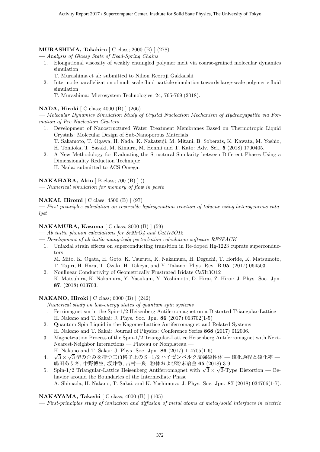#### MURASHIMA, Takahiro [ C class; 2000 (B) ] (278)

— Analysis of Glassy State of Bead-Spring Chains

- 1. Elongational viscosity of weakly entangled polymer melt via coarse-grained molecular dynamics simulation
	- T. Murashima et al: submitted to Nihon Reoroji Gakkaishi
- 2. Inter node parallelization of multiscale fluid particle simulation towards large-scale polymeric fluid simulation
	- T. Murashima: Microsystem Technologies, 24, 765-769 (2018).

#### NADA, Hiroki [ C class; 4000 (B) ] (266)

— Molecular Dynamics Simulation Study of Crystal Nucleation Mechanism of Hydroxyapatite via Formation of Pre-Nucleation Clusters

- 1. Development of Nanostructured Water Treatment Membranes Based on Thermotropic Liquid Crystals: Molecular Design of Sub-Nanoporous Materials T. Sakamoto, T. Ogawa, H. Nada, K. Nakatsuji, M. Mitani, B. Soberats, K. Kawata, M. Yoshio, H. Tomioka, T. Sasaki, M. Kimura, M. Henmi and T. Kato: Adv. Sci., 5 (2018) 1700405.
- 2. A New Methodology for Evaluating the Structural Similarity between Different Phases Using a Dimensionality Reduction Technique H. Nada: submitted to ACS Omega.

#### NAKAHARA, Akio  $[B \text{ class}; 700 (B) ]()$

— Numerical simulation for memory of flow in paste

#### NAKAI, Hiromi [ C class; 4500 (B) ] (97)

— First-principles calculation on reversible hydrogenation reaction of toluene using heterogeneous catalyst

#### NAKAMURA, Kazuma [ C class; 8000 (B) ] (59)

- Ab initio phonon calculations for  $Sr2IrO4$  and  $Ca5Ir3O12$
- Development of ab initio many-body perturbation calculation software RESPACK
	- 1. Uniaxial strain effects on superconducting transition in Re-doped Hg-1223 cuprate superconductors

M. Mito, K. Ogata, H. Goto, K. Tsuruta, K. Nakamura, H. Deguchi, T. Horide, K. Matsumoto, T. Tajiri, H. Hara, T. Ozaki, H. Takeya, and Y. Takano: Phys. Rev. B 95, (2017) 064503.

2. Nonlinear Conductivity of Geometrically Frustrated Iridate Ca5Ir3O12 K. Matsuhira, K. Nakamura, Y. Yasukuni, Y. Yoshimoto, D. Hirai, Z. Hiroi: J. Phys. Soc. Jpn. 87, (2018) 013703.

#### NAKANO, Hiroki [ C class; 6000 (B) ] (242)

- Numerical study on low-energy states of quantum spin systems
	- 1. Ferrimagnetism in the Spin-1/2 Heisenberg Antiferromagnet on a Distorted Triangular-Lattice H. Nakano and T. Sakai: J. Phys. Soc. Jpn. 86 (2017) 063702(1-5)
	- 2. Quantum Spin Liquid in the Kagome-Lattice Antiferromagnet and Related Systems H. Nakano and T. Sakai: Journal of Physics: Conference Series 868 (2017) 012006.
- 3. Magnetization Process of the Spin-1/2 Triangular-Lattice Heisenberg Antiferromagnet with Next-Nearest-Neighbor Interactions — Plateau or Nonplateau — H. Nakano and T. Sakai: J. Phys. Soc. Jpn. 86 (2017) 114705(1-6)
- 4. √ $\sqrt{3} \times \sqrt{3}$ 型の歪みを持つ三角格子上の S=1/2 ハイゼンベルク反強磁性体 磁化過程と磁化率 嶋田ありさ, 中野博生, 坂井徹, 吉村一良: 粉体および粉末冶金 65 (2018) 3-9
- 5. Spin-1/2 Triangular-Lattice Heisenberg Antiferromagnet with  $\sqrt{3} \times \sqrt{3}$ -Type Distortion Behavior around the Boundaries of the Intermediate Phase A. Shimada, H. Nakano, T. Sakai, and K. Yoshimura: J. Phys. Soc. Jpn. 87 (2018) 034706(1-7).

#### NAKAYAMA, Takashi [ C class; 4000 (B) ] (105)

— First-principles study of ionization and diffusion of metal atoms at metal/solid interfaces in electric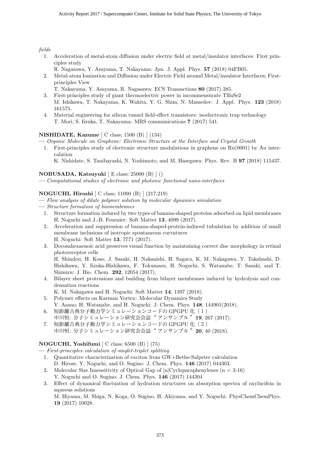fields

- 1. Acceleration of metal-atom diffusion under electric field at metal/insulator interfaces: First principles study
	- R. Nagasawa, Y. Asayama, T. Nakayama: Jpn. J. Appl. Phys. 57 (2018) 04FB05.
- 2. Metal-atom Ionization and Diffusion under Electric Field around Metal/insulator Interfaces; Firstprinciples View
	- T. Nakayama, Y. Asayama, R. Nagasawa: ECS Transactions 80 (2017) 285.
- 3. First-principles study of giant thermoelectric power in incommensurate TlInSe2 M. Ishikawa, T. Nakayama, K. Wakita, Y. G. Shim, N. Mamedov: J. Appl. Phys. 123 (2018) 161575.
- 4. Material engineering for silicon tunnel field-effect transistors: isoelectronic trap technology T. Mori, S. Iizuka, T. Nakayama: MRS communications 7 (2017) 541.

#### NISHIDATE, Kazume [ C class; 1500 (B) ] (134)

— Organic Molecule on Graphene: Electronic Structure at the Interface and Crystal Growth

1. First-principles study of electronic structure modulations in graphene on Ru(0001) by Au intercalation

K. Nishidate, S. Tanibayashi, N. Yoshimoto, and M. Hasegawa: Phys. Rev. B 97 (2018) 115437.

#### NOBUSADA, Katsuyuki [ E class; 25000 (B) ] ()

— Computational studies of electronic and photonic functional nano-interfaces

#### NOGUCHI, Hiroshi [ C class; 11000 (B) ] (217,219)

- Flow analysis of dilute polymer solution by molecular dynamics simulation
- Structure formation of biomembranes
	- 1. Structure formation induced by two types of banana-shaped proteins adsorbed on lipid membranes H. Noguchi and J.-B. Fournier: Soft Matter 13, 4099 (2017).
	- 2. Acceleration and suppression of banana-shaped-protein-induced tubulation by addition of small membrane inclusions of isotropic spontaneous curvatures H. Noguchi: Soft Matter 13, 7771 (2017).
	- 3. Docosahexaenoic acid preserves visual function by maintaining correct disc morphology in retinal photoreceptor cells

H. Shindou, H. Koso, J. Sasaki, H. Nakanishi, H. Sagara, K. M. Nakagawa, Y. Takahashi, D. Hishikawa, Y. Iizuka-Hishikawa, F. Tokumasu, H. Noguchi, S. Watanabe, T. Sasaki, and T. Shimizu: J. Bio. Chem. 292, 12054 (2017).

- 4. Bilayer sheet protrusions and budding from bilayer membranes induced by hydrolysis and condensation reactions
	- K. M. Nakagawa and H. Noguchi: Soft Matter 14, 1397 (2018).
- 5. Polymer effects on Karman Vortex: Molecular Dynamics Study Y. Asano, H. Watanabe, and H. Noguchi: J. Chem. Phys. 148, 144901(2018).
- 6. 短距離古典分子動力学シミュレーションコードの GPGPU 化(1) 中川恒: 分子シミュレーション研究会会誌"アンサンブル"19.267 (2017).
- 7. 短距離古典分子動力学シミュレーションコードの GPGPU 化 (2) 中川恒: 分子シミュレーション研究会会誌"アンサンブル"20,40 (2018).

#### NOGUCHI, Yoshifumi [ C class; 6500 (B) ] (75)

— First-principles calculation of singlet-triplet splitting

- 1. Quantitative characterization of exciton from GW+Bethe-Salpeter calculation D. Hirose, Y. Noguchi, and O. Sugino: J. Chem. Phys. 146 (2017) 044303.
- 2. Molecular Size Insensitivity of Optical Gap of  $[n]Cycloparphenylenes (n = 3-16)$ Y. Noguchi and O. Sugino: J. Chem. Phys. 146 (2017) 144304
- 3. Effect of dynamical fluctuation of hydration structures on absorption spectra of oxylucifein in aqueous solutions

M. Hiyama, M. Shiga, N. Koga, O. Sugino, H. Akiyama, and Y. Noguchi: PhysChemChemPhys. 19 (2017) 10028.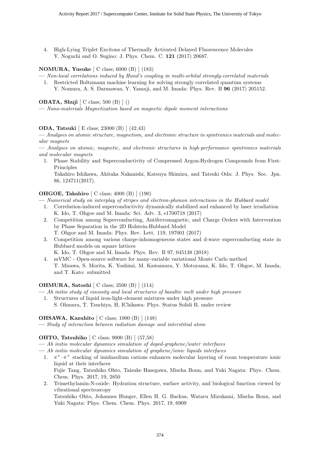4. High-Lying Triplet Excitons of Thermally Activated Delayed Fluorescence Molecules Y. Noguchi and O. Sugino: J. Phys. Chem. C. 121 (2017) 20687.

#### NOMURA, Yusuke [ C class; 6000 (B) ] (183)

- Non-local correlations induced by Hund's coupling in multi-orbital strongly-correlated materials 1. Restricted Boltzmann machine learning for solving strongly correlated quantum systems
	- Y. Nomura, A. S. Darmawan, Y. Yamaji, and M. Imada: Phys. Rev. B 96 (2017) 205152.

#### OBATA, Shuji [ C class; 500 (B) ] ()

— Nano-materials Magnetization based on magnetic dipole moment interactions

#### ODA, Tatsuki [ E class; 23000 (B) ] (42,43)

— Analyses on atomic structure, magnetism, and electronic structure in spintronics materials and molecular magnets

— Analyses on atomic, magnetic, and electronic structures in high-performance spintronics materials and molecular magnets

1. Phase Stability and Superconductivity of Compressed Argon-Hydrogen Compounds from First-Principles

Takahiro Ishikawa, Akitaka Nakanishi, Katsuya Shimizu, and Tatsuki Oda: J. Phys. Soc. Jpn. 86, 124711(2017).

#### OHGOE, Takahiro [ C class; 4000 (B) ] (190)

— Numerical study on interplay of stripes and electron-phonon interactions in the Hubbard model

- 1. Correlation-induced superconductivity dynamically stabilized and enhanced by laser irradiation K. Ido, T. Ohgoe and M. Imada: Sci. Adv. 3, e1700718 (2017)
- 2. Competition among Superconducting, Antiferromagnetic, and Charge Orders with Intervention by Phase Separation in the 2D Holstein-Hubbard Model T. Ohgoe and M. Imada: Phys. Rev. Lett. 119, 197001 (2017)
- 3. Competition among various charge-inhomogeneous states and d-wave superconducting state in Hubbard models on square lattices
	- K. Ido, T. Ohgoe and M. Imada: Phys. Rev. B 97, 045138 (2018)
- 4. mVMC Open-source software for many-variable variational Monte Carlo method T. Misawa, S. Morita, K. Yoshimi, M. Kawamura, Y. Motoyama, K. Ido, T. Ohgoe, M. Imada, and T. Kato: submitted

#### OHMURA, Satoshi [ C class; 3500 (B) ] (114)

 $-$  Ab initio study of viscosity and local structures of basaltic melt under high pressure

1. Structures of liquid iron-light-element mixtures under high pressure S. Ohmura, T. Tsuchiya, H, IChikawa: Phys. Status Solidi B, under review

#### OHSAWA, Kazuhito [ C class; 1000 (B) ] (148)

— Study of interaction between radiation damage and interstitial atom

#### OHTO, Tatsuhiko [ C class; 9000 (B) ] (57,58)

- Ab initio molecular dynamics simulation of doped-graphene/water interfaces
- Ab initio molecular dynamics simulation of graphene/ionic liquids interfaces
	- 1.  $\pi^+$  $\pi^+$  stacking of imidazolium cations enhances molecular layering of room temperature ionic liquid at their interfaces Fujie Tang, Tatsuhiko Ohto, Taisuke Hasegawa, Mischa Bonn, and Yuki Nagata: Phys. Chem. Chem. Phys. 2017, 19, 2850
	- 2. Trimethylamin-N-oxide: Hydration structure, surface activity, and biological function viewed by vibrational spectroscopy Tatsuhiko Ohto, Johannes Hunger, Ellen H. G. Backus, Wataru Mizukami, Mischa Bonn, and Yuki Nagata: Phys. Chem. Chem. Phys. 2017, 19, 6909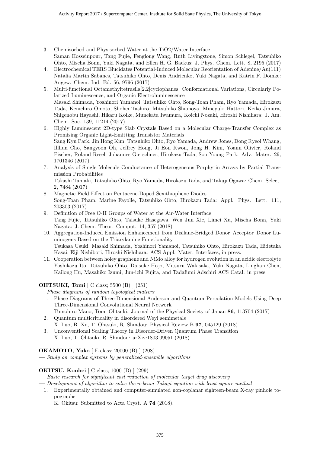- 3. Chemisorbed and Physisorbed Water at the TiO2/Water Interface Saman Hosseinpour, Tang Fujie, Fenglong Wang, Ruth Livingstone, Simon Schlegel, Tatsuhiko Ohto, Mischa Bonn, Yuki Nagata, and Ellen H. G. Backus: J. Phys. Chem. Lett. 8, 2195 (2017)
- 4. Electrochemical TERS Elucidates Potential-Induced Molecular Reorientation of Adenine/Au(111) Natalia Martin Sabanes, Tatsuhiko Ohto, Denis Andrienko, Yuki Nagata, and Katrin F. Domke: Angew. Chem. Ind. Ed. 56, 9796 (2017)
- 5. Multi-functional Octamethyltetrasila[2.2]cyclophanes: Conformational Variations, Circularly Polarized Luminescence, and Organic Electroluminescence Masaki Shimada, Yoshinori Yamanoi, Tatsuhiko Ohto, Song-Toan Pham, Ryo Yamada, Hirokazu Tada, Kenichiro Omoto, Shohei Tashiro, Mitsuhiko Shionoya, Mineyuki Hattori, Keiko Jimura, Shigenobu Hayashi, Hikaru Koike, Munekata Iwamura, Koichi Nozaki, Hiroshi Nishihara: J. Am. Chem. Soc. 139, 11214 (2017)
- 6. Highly Luminescent 2D-type Slab Crystals Based on a Molecular Charge-Transfer Complex as Promising Organic Light-Emitting Transistor Materials Sang Kyu Park, Jin Hong Kim, Tatsuhiko Ohto, Ryo Yamada, Andrew Jones, Dong Ryeol Whang, Illhun Cho, Sangyoon Oh, Jeffrey Hong, Ji Eon Kwon, Jong H. Kim, Yoann Olivier, Roland Fischer, Roland Resel, Johannes Gierschner, Hirokazu Tada, Soo Young Park: Adv. Mater. 29, 1701346 (2017)
- 7. Analysis of Single Molecule Conductance of Heterogeneous Porphyrin Arrays by Partial Transmission Probabilities Takashi Tamaki, Tatsuhiko Ohto, Ryo Yamada, Hirokazu Tada, and Takuji Ogawa: Chem. Select.
- 2, 7484 (2017) 8. Magnetic Field Effect on Pentacene-Doped Sexithiophene Diodes
- Song-Toan Pham, Marine Fayolle, Tatsuhiko Ohto, Hirokazu Tada: Appl. Phys. Lett. 111, 203303 (2017)
- 9. Definition of Free O-H Groups of Water at the Air-Water Interface Tang Fujie, Tatsuhiko Ohto, Taisuke Hasegawa, Wen Jun Xie, Limei Xu, Mischa Bonn, Yuki Nagata: J. Chem. Theor. Comput. 14, 357 (2018)
- 10. Aggregation-Induced Emission Enhancement from Disilane-Bridged Donor–Acceptor–Donor Luminogens Based on the Triarylamine Functionality Tsukasa Usuki, Masaki Shimada, Yoshinori Yamanoi, Tatsuhiko Ohto, Hirokazu Tada, Hidetaka Kasai, Eiji Nishibori, Hiroshi Nishihara: ACS Appl. Mater. Interfaces, in press.
- 11. Cooperation between holey graphene and NiMo alloy for hydrogen evolution in an acidic electrolyte Yoshikazu Ito, Tatsuhiko Ohto, Daisuke Hojo, Mitsuru Wakisaka, Yuki Nagata, Linghan Chen, Kailong Hu, Masahiko Izumi, Jun-ichi Fujita, and Tadafumi Adschiri ACS Catal. in press.

#### OHTSUKI, Tomi [ C class; 5500 (B) ] (251)

— Phase diagrams of random topological matters

- 1. Phase Diagrams of Three-Dimensional Anderson and Quantum Percolation Models Using Deep Three-Dimensional Convolutional Neural Network
- Tomohiro Mano, Tomi Ohtsuki: Journal of the Physical Society of Japan 86, 113704 (2017) 2. Quantum multicriticality in disordered Weyl semimetals
	- X. Luo, B. Xu, T. Ohtsuki, R. Shindou: Physical Review B 97, 045129 (2018)
- 3. Unconventional Scaling Theory in Disorder-Driven Quantum Phase Transition X. Luo, T. Ohtsuki, R. Shindou: arXiv:1803.09051 (2018)

#### OKAMOTO, Yuko [ E class; 20000 (B) ] (208)

— Study on complex systems by generalized-ensemble algorithms

#### OKITSU, Kouhei [ C class; 1000 (B) ] (299)

- Basic research for significant cost reduction of molecular target drug discovery
- Development of algorithm to solve the n-beam Takagi equation with least square method
- 1. Experimentally obtained and computer-simulated non-coplanar eighteen-beam X-ray pinhole topographs

K. Okitsu: Submitted to Acta Cryst. A 74 (2018).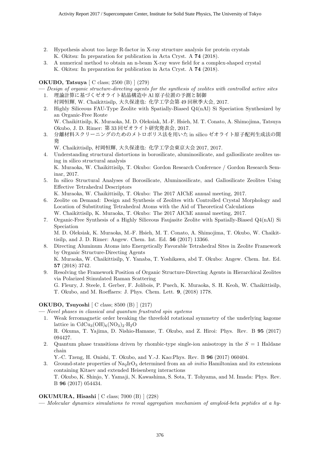- 2. Hypothesis about too large R-factor in X-ray structure analysis for protein crystals K. Okitsu: In preparation for publication in Acta Cryst. A 74 (2018).
- 3. A numerical method to obtain an n-beam X-ray wave field for a complex-shaped crystal K. Okitsu: In preparation for publication in Acta Cryst. A 74 (2018).

#### OKUBO, Tatsuya [ C class; 2500 (B) ] (279)

- Design of organic structure-directing agents for the synthesis of zeolites with controlled active sites 1. 理論計算に基づくゼオライト結晶構造中 Al 原子位置の予測と制御
- 村岡恒輝, W. Chaikittisilp, 大久保達也: 化学工学会第 49 回秋季大会, 2017.
- 2. Highly Siliceous FAU-Type Zeolite with Spatially-Biased Q4(nAl) Si Speciation Synthesized by an Organic-Free Route W. Chaikittisilp, K. Muraoka, M. D. Oleksiak, M.-F. Hsieh, M. T. Conato, A. Shimojima, Tatsuya
- Okubo, J. D. Rimer: 第 33 回ゼオライト研究発表会, 2017. 3. 分離材料スクリーニングのためのメトロポリス法を用いた in silico ゼオライト原子配列生成法の開 ౙ
	- W. Chaikittisilp, 村岡恒輝, 大久保達也: 化学工学会東京大会 2017, 2017.
- 4. Understanding structural distortions in borosilicate, aluminosilicate, and gallosilicate zeolites using in silico structural analysis K. Muraoka, W. Chaikittisilp, T. Okubo: Gordon Research Conference / Gordon Research Sem-
- inar, 2017. 5. In silico Structural Analyses of Borosilicate, Aluminosilicate, and Gallosilicate Zeolites Using Effective Tetrahedral Descriptors
	- K. Muraoka, W. Chaikittisilp, T. Okubo: The 2017 AIChE annual meeting, 2017.
- 6. Zeolite on Demand: Design and Synthesis of Zeolites with Controlled Crystal Morphology and Location of Substituting Tetrahedral Atoms with the Aid of Theoretical Calculations W. Chaikittisilp, K. Muraoka, T. Okubo: The 2017 AIChE annual meeting, 2017.
- 7. Organic-Free Synthesis of a Highly Siliceous Faujasite Zeolite with Spatially-Biased Q4(nAl) Si Speciation

M. D. Oleksiak, K. Muraoka, M.-F. Hsieh, M. T. Conato, A. Shimojima, T. Okubo, W. Chaikittisilp, and J. D. Rimer: Angew. Chem. Int. Ed. 56 (2017) 13366.

- 8. Directing Aluminum Atoms into Energetically Favorable Tetrahedral Sites in Zeolite Framework by Organic Structure-Directing Agents K. Muraoka, W. Chaikittisilp, Y. Yanaba, T. Yoshikawa, abd T. Okubo: Angew. Chem. Int. Ed. 57 (2018) 3742.
- 9. Resolving the Framework Position of Organic Structure-Directing Agents in Hierarchical Zeolites via Polarized Stimulated Raman Scattering G. Fleury, J. Steele, I. Gerber, F. Jolibois, P. Puech, K. Muraoka, S. H. Keoh, W. Chaikittisilp, T. Okubo, and M. Roeffaers: J. Phys. Chem. Lett. 9, (2018) 1778.

#### OKUBO, Tsuyoshi [ C class; 8500 (B) ] (217)

— Novel phases in classical and quantum frustrated spin systems

- 1. Weak ferromagnetic order breaking the threefold rotational symmetry of the underlying kagome lattice in  $CdCu_3(OH)_6(NO_3)_2·H_2O$ R. Okuma, T. Yajima, D. Nishio-Hamane, T. Okubo, and Z. Hiroi: Phys. Rev. B 95 (2017) 094427.
- 2. Quantum phase transitions driven by rhombic-type single-ion anisotropy in the  $S = 1$  Haldane chain

Y.-C. Tzeng, H. Onishi, T. Okubo, and Y.-J. Kao:Phys. Rev. B 96 (2017) 060404.

3. Ground-state properties of  $\text{Na}_2\text{IrO}_3$  determined from an ab initio Hamiltonian and its extensions containing Kitaev and extended Heisenberg interactions T. Okubo, K. Shinjo, Y. Yamaji, N. Kawashima, S. Sota, T. Tohyama, and M. Imada: Phys. Rev. B 96 (2017) 054434.

#### OKUMURA, Hisashi [ C class; 7000 (B) ] (228)

— Molecular dynamics simulations to reveal aggregation mechanism of amyloid-beta peptides at a hy-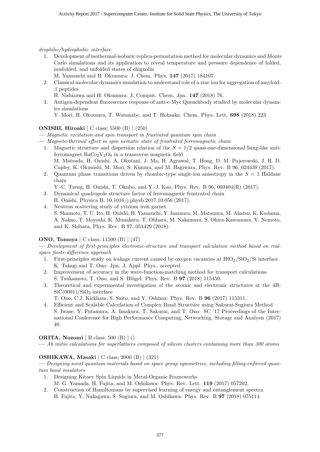drophilic/hydrophobic interface

- 1. Development of isothermal-isobaric replica-permutation method for molecular dynamics and Monte Carlo simulations and its application to reveal temperature and pressure dependence of folded, misfolded, and unfolded states of chignolin
- M. Yamauchi and H. Okumura: J. Chem. Phys. 147 (2017) 184107.
- 2. Classical molecular dynamics simulation to understand role of a zinc ion for aggregation of amyloid- $\beta$  peptides
	- H. Nishizawa and H. Okumura: J. Comput. Chem. Jpn. 147 (2018) 76.
- 3. Antigen-dependent fluorescence response of anti-c-Myc Quenchbody studied by molecular dynamics simulations

Y. Mori, H. Okumura, T. Watanabe, and T. Hohsaka: Chem. Phys. Lett. 698 (2018) 223.

#### ONISHI, Hiroaki [ C class; 5500 (B) ] (250)

— Magnetic excitation and spin transport in frustrated quantum spin chain

- Magneto-thermal effect in spin nematic state of frustrated ferromagnetic chain
- 1. Magnetic structure and dispersion relation of the  $S = 1/2$  quasi-one-dimensional Ising-like antiferromagnet  $BaCo<sub>2</sub>V<sub>2</sub>O<sub>8</sub>$  in a transverse magnetic field M. Matsuda, H. Onishi, A. Okutani, J. Ma, H. Agrawal, T. Hong, D. M. Pajerowski, J. R. D. Copley, K. Okunishi, M. Mori, S. Kimura, and M. Hagiwara, Phys. Rev. B 96, 024439 (2017).
- 2. Quantum phase transitions driven by rhombic-type single-ion anisotropy in the  $S = 1$  Haldane chain
	- Y.-C. Tzeng, H. Onishi, T. Okubo, and Y.-J. Kao, Phys. Rev. B 96, 060404(R) (2017).
- 3. Dynamical quadrupole structure factor of ferromagnetic frustrated chain
- H. Onishi, Physica B, 10.1016/j.physb.2017.10.056 (2017).
- 4. Neutron scattering study of yttrium iron garnet S. Shamoto, T. U. Ito, H. Onishi, H. Yamauchi, Y. Inamura, M. Matsuura, M. Akatsu, K. Kodama, A. Nakao, T. Moyoshi, K. Munakata, T. Ohhara, M. Nakamura, S. Ohira-Kawamura, Y. Nemoto, and K. Shibata, Phys. Rev. B 97, 054429 (2018).

#### ONO, Tomoya [ C class; 11500 (B) ] (47)

— Development of first-principles electronic-structure and transport calculation method based on realspace finite-difference approach

- 1. First-principles study on leakage current caused by oxygen vacancies at  $HfO<sub>2</sub>/SiO<sub>2</sub>/Si$  interface K. Takagi and T. Ono: Jpn. J. Appl. Phys., accepted.
- 2. Improvement of accuracy in the wave-function-matching method for transport calculations S. Tsukamoto, T. Ono, and S. Blügel: Phys. Rev. B **97** (2018) 115450.
- 3. Theoretical and experimental investigation of the atomic and electronic structures at the 4H- $SiC(0001)/SiO<sub>2</sub>$  interface
	- T. Ono, C.J. Kirkham, S. Saito, and Y. Oshima: Phys. Rev. B 96 (2017) 115311.
- 4. Efficient and Scalable Calculation of Complex Band Structure using Sakurai-Sugiura Method S. Iwase, Y. Futamura, A. Imakura, T. Sakurai, and T. Ono: SC '17 Proceedings of the International Conference for High Performance Computing, Networking, Storage and Analysis (2017) 40.

#### ORITA, Nozomi [ B class; 500 (B) ] ()

— Ab initio calculations for superlattices composed of silicon clusters containing more than 300 atoms

#### OSHIKAWA, Masaki [ C class; 2000 (B) ] (321)

— Designing novel quantum materials based on space group symmetries, including filling-enforced quantum band insulators

- 1. Designing Kitaev Spin Liquids in Metal-Organic Frameworks
- M. G. Yamada, H. Fujita, and M. Oshikawa: Phys. Rev. Lett. 119 (2017) 057202.
- 2. Construction of Hamiltonians by supervised learning of energy and entanglement spectra H. Fujita, Y. Nakagawa, S. Sugiura, and M. Oshikawa: Phys. Rev. B 97 (2018) 075114.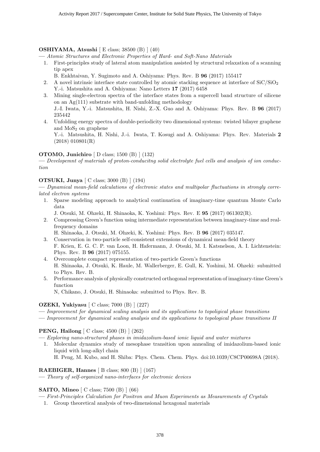#### OSHIYAMA, Atsushi [ E class; 38500 (B) ] (40)

— Atomic Structures and Electronic Properties of Hard- and Soft-Nano Materials

- 1. First-principles study of lateral atom manipulation assisted by structural relaxation of a scanning tip apex
	- B. Enkhtaivan, Y. Sugimoto and A. Oshiyama: Phys. Rev. B 96 (2017) 155417
- 2. A novel intrinsic interface state controlled by atomic stacking sequence at interface of  $SiC/SiO<sub>2</sub>$ Y.-i. Matsushita and A. Oshiyama: Nano Letters 17 (2017) 6458
- 3. Mining single-electron spectra of the interface states from a supercell band structure of silicene on an Ag(111) substrate with band-unfolding methodology J.-I. Iwata, Y.-i. Matsushita, H. Nishi, Z.-X. Guo and A. Oshiyama: Phys. Rev. B 96 (2017) 235442
- 4. Unfolding energy spectra of double-periodicity two dimensional systems: twisted bilayer graphene and  $MoS<sub>2</sub>$  on graphene

Y.-i. Matsushita, H. Nishi, J.-i. Iwata, T. Kosugi and A. Oshiyama: Phys. Rev. Materials 2 (2018) 010801(R)

#### OTOMO, Junichiro [ D class; 1500 (B) ] (132)

— Developemnt of materials of proton-conducitng solid electrolyte fuel cells and analysis of ion conduction

#### OTSUKI, Junya [ C class; 3000 (B) ] (194)

— Dynamical mean-field calculations of electronic states and multipolar fluctuations in strongly correlated electron systems

- 1. Sparse modeling approach to analytical continuation of imaginary-time quantum Monte Carlo data
	- J. Otsuki, M. Ohzeki, H. Shinaoka, K. Yoshimi: Phys. Rev. E 95 (2017) 061302(R).
- 2. Compressing Green's function using intermediate representation between imaginary-time and realfrequency domains

H. Shinaoka, J. Otsuki, M. Ohzeki, K. Yoshimi: Phys. Rev. B 96 (2017) 035147.

- 3. Conservation in two-particle self-consistent extensions of dynamical mean-field theory F. Krien, E. G. C. P. van Loon, H. Hafermann, J. Otsuki, M. I. Katsnelson, A. I. Lichtenstein: Phys. Rev. B 96 (2017) 075155.
- 4. Overcomplete compact representation of two-particle Green's functions H. Shinaoka, J. Otsuki, K. Haule, M. Wallerberger, E. Gull, K. Yoshimi, M. Ohzeki: submitted to Phys. Rev. B.
- 5. Performance analysis of physically constructed orthogonal representation of imaginary-time Green's function

N, Chikano, J. Otsuki, H. Shinaoka: submitted to Phys. Rev. B.

#### OZEKI, Yukiyasu [ C class; 7000 (B) ] (227)

- Improvement for dynamical scaling analysis and its applications to topoligical phase transitions
- Improvement for dynamical scaling analysis and its applications to topological phase transitions II

#### PENG, Hailong [ C class; 4500 (B) ] (262)

- Exploring nano-structured phases in imidazolium-based ionic liquid and water mixtures
- 1. Molecular dynamics study of mesophase transition upon annealing of imidazolium-based ionic liquid with long-alkyl chain

H. Peng, M. Kubo, and H. Shiba: Phys. Chem. Chem. Phys. doi:10.1039/C8CP00698A (2018).

#### RAEBIGER, Hannes [ B class; 800 (B) ] (167)

— Theory of self-organized nano-interfaces for electronic devices

#### SAITO, Mineo [ C class; 7500 (B) ] (66)

— First-Principles Calculation for Positron and Muon Experiments as Measurements of Crystals

1. Group theoretical analysis of two-dimensional hexagonal materials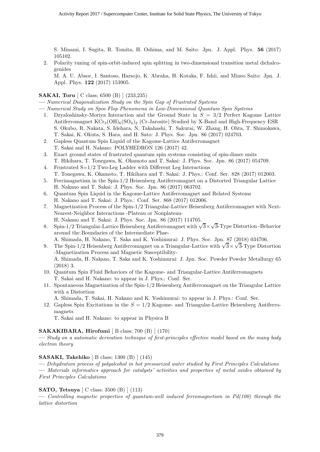S. Minami, I. Sugita, R. Tomita, H. Oshima, and M. Saito: Jpn. J. Appl. Phys. 56 (2017) 105102.

2. Polarity tuning of spin-orbit-induced spin splitting in two-dimensional transition metal dichalcogenides

M. A. U. Absor, I. Santoso, Harsojo, K. Abraha, H. Kotaka, F. Ishii, and Mineo Saito: Jpn. J. Appl. Phys. 122 (2017) 153905.

#### **SAKAI, Toru** [ C class; 6500 (B) ] (233,235)

- Numerical Diagonalization Study on the Spin Gap of Frustrated Systems
- Numerical Study on Spin Flop Phenomena in Low-Dimensional Quantum Spin Systems
	- 1. Dzyaloshinsky-Moriya Interaction and the Ground State in  $S = 3/2$  Perfect Kagome Lattice Antiferromagnet  $\text{KCr}_3(\text{OH})_6(\text{SO}_4)_2$  (Cr-Jarosite) Studied by X-Band and High-Frequency ESR S. Okubo, R. Nakata, S. Idehara, N. Takahashi, T. Sakurai, W. Zhang, H. Ohta, T. Shimokawa, T. Sakai, K. Okuta, S. Hara, and H. Sato: J. Phys. Soc. Jpn. 86 (2017) 024703.
	- 2. Gapless Quantum Spin Liquid of the Kagome-Lattice Antiferromagnet
	- T. Sakai and H. Nakano: POLYHEDRON 126 (2017) 42.
	- 3. Exact ground states of frustrated quantum spin systems consisting of spin-dimer units T. Hikihara, T. Tonegawa, K. Okamoto and T. Sakai: J. Phys. Soc. Jpn. 86 (2017) 054709.
	- 4. Frustrated S=1/2 Two-Leg Ladder with Different Leg Interactions T. Tonegawa, K. Okamoto, T. Hikihara and T. Sakai: J. Phys.: Conf. Ser. 828 (2017) 012003.
	- 5. Ferrimagnetism in the Spin-1/2 Heisenberg Antiferromagnet on a Distorted Triangular Lattice H. Nakano and T. Sakai: J. Phys. Soc. Jpn. 86 (2017) 063702.
	- 6. Quantum Spin Liquid in the Kagome-Lattice Antiferromagnet and Related Systems H. Nakano and T. Sakai: J. Phys.: Conf. Ser. 868 (2017) 012006.
	- 7. Magnetization Process of the Spin-1/2 Triangular-Lattice Heisenberg Antiferromagnet with Next-Nearest-Neighbor Interactions -Plateau or Nonplateau-H. Nakano and T. Sakai: J. Phys. Soc. Jpn. 86 (2017) 114705.
	- 8. Spin-1/2 Triangular-Lattice Heisenberg Antiferromagnet with  $\sqrt{3} \times \sqrt{3}$ -Type Distortion -Behavior around the Boundaries of the Intermediate Phse-
		- A. Shimada, H. Nakano, T. Saka and K. Yoshimurai: J. Phys. Soc. Jpn. 87 (2018) 034706.
	- 9. The Spin-1/2 Heisenberg Antiferromagnet on a Triangular-Lattice with  $\sqrt{3} \times \sqrt{3}$ -Type Distortion -Magnetization Process and Magnetic Susceptibility-

A. Shimada, H. Nakano, T. Saka and K. Yoshimurai: J. Jpn. Soc. Powder Powder Metallurgy 65 (2018) 3.

- 10. Quantum Spin Fluid Behaviors of the Kagome- and Triangular-Lattice Antiferromagnets T. Sakai and H. Nakano: to appear in J. Phys.: Conf. Ser.
- 11. Spontaneous Magnetization of the Spin-1/2 Heisenberg Antiferromagnet on the Triangular Lattice with a Distortion

A. Shimada, T. Sakai, H. Nakano and K. Yoshimurai: to appear in J. Phys.: Conf. Ser.

12. Gapless Spin Excitations in the  $S = 1/2$  Kagome- and Triangular-Lattice Heisenberg Antiferromagnets

T. Sakai and H. Nakano: to appear in Physica B

#### SAKAKIBARA, Hirofumi [ B class; 700 (B) ] (170)

— Study on a automatic derivation technique of first-principles effective model based on the many body electron theory

#### SASAKI, Takehiko [ B class; 1300 (B) ] (145)

— Dehydration process of polyalcohol in hot pressurized water studied by First Principles Calculations — Materials informatics approach for catalysts' activities and properties of metal oxides obtained by First Principles Calculations

#### SATO, Tetsuya [ C class; 3500 (B) ] (113)

 $-$  Controlling magnetic properties of quantum-well induced ferromagnetism in  $Pd(100)$  through the lattice distortion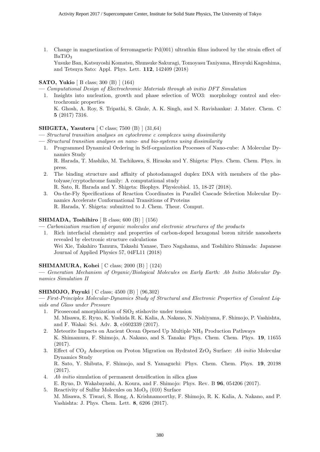1. Change in magnetization of ferromagnetic Pd(001) ultrathin films induced by the strain effect of BaTiO<sub>3</sub>

Yusuke Ban, Katsuyoshi Komatsu, Shunsuke Sakuragi, Tomoyasu Taniyama, Hiroyuki Kageshima, and Tetsuya Sato: Appl. Phys. Lett. 112, 142409 (2018)

#### SATO, Yukio [ B class; 300 (B) ] (164)

— Computational Design of Electrochromic Materials through ab initio DFT Simulation

1. Insights into nucleation, growth and phase selection of WO3: morphology control and electrochromic properties K. Ghosh, A. Roy, S. Tripathi, S. Ghule, A. K. Singh, and N. Ravishankar: J. Mater. Chem. C

## 5 (2017) 7316.

#### SHIGETA, Yasuteru [ C class; 7500 (B) ] (31,64)

— Structural transition analyses on cytochrome c complexes using dissimilarity

- Structural transition analyses on nano- and bio-systems using dissimilarity
- 1. Programmed Dynamical Ordering in Self-organization Processes of Nano-cube: A Molecular Dynamics Study R. Harada, T. Mashiko, M. Tachikawa, S. Hiraoka and Y. Shigeta: Phys. Chem. Chem. Phys. in press.
- 2. The binding structure and affinity of photodamaged duplex DNA with members of the photolyase/cryptochrome family: A computational study
- R. Sato, R. Harada and Y. Shigeta: Biophys. Physicobiol. 15, 18-27 (2018).
- 3. On-the-Fly Specifications of Reaction Coordinates in Parallel Cascade Selection Molecular Dynamics Accelerate Conformational Transitions of Proteins R. Harada, Y. Shigeta: submitted to J. Chem. Theor. Comput.

#### SHIMADA, Toshihiro  $\vert$  B class; 600 (B)  $\vert$  (156)

- Carbonization reaction of organic molecules and electronic structures of the products
- 1. Rich interfacial chemistry and properties of carbon-doped hexagonal boron nitride nanosheets revealed by electronic structure calculations Wei Xie, Takahiro Tamura, Takashi Yanase, Taro Nagahama, and Toshihiro Shimada: Japanese Journal of Applied Physics 57, 04FL11 (2018)

#### SHIMAMURA, Kohei [ C class; 2000 (B) ] (124)

— Generation Mechanism of Organic/Biological Molecules on Early Earth: Ab Initio Molecular Dynamics Simulation II

#### SHIMOJO, Fuyuki [ C class; 4500 (B) ] (96,302)

— First-Principles Molecular-Dynamics Study of Structural and Electronic Properties of Covalent Liquids and Glass under Pressure

- 1. Picosecond amorphization of  $SiO<sub>2</sub>$  stishovite under tension M. Misawa, E. Ryuo, K. Yoshida R. K. Kalia, A. Nakano, N. Nishiyama, F. Shimojo, P. Vashishta, and F. Wakai: Sci. Adv. 3, e1602339 (2017).
- 2. Meteorite Impacts on Ancient Ocean Opened Up Multiple NH<sup>3</sup> Production Pathways K. Shimamura, F. Shimojo, A. Nakano, and S. Tanaka: Phys. Chem. Chem. Phys. 19, 11655 (2017).
- 3. Effect of  $CO_2$  Adsorption on Proton Migration on Hydrated ZrO<sub>2</sub> Surface: Ab initio Molecular Dynamics Study

R. Sato, Y. Shibuta, F. Shimojo, and S. Yamaguchi: Phys. Chem. Chem. Phys. 19, 20198 (2017).

- 4. Ab initio simulation of permanent densification in silica glass E. Ryuo, D. Wakabayashi, A. Koura, and F. Shimojo: Phys. Rev. B 96, 054206 (2017).
- 5. Reactivity of Sulfur Molecules on  $MoO<sub>3</sub>(010)$  Surface M. Misawa, S. Tiwari, S. Hong, A. Krishnamoorthy, F. Shimojo, R. K. Kalia, A. Nakano, and P. Vashishta: J. Phys. Chem. Lett. 8, 6206 (2017).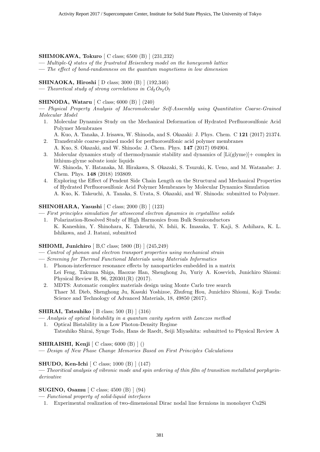#### SHIMOKAWA, Tokuro [ C class; 6500 (B) ] (231,232)

 $-$  Multiple-Q states of the frustrated Heisenberg model on the honeycomb lattice

— The effect of bond-randomness on the quantum magnetisms in low dimension

SHINAOKA, Hiroshi [ D class; 3000 (B) ] (192,346)

— Theoretical study of strong correlations in  $Cd_2O_{52}O_7$ 

#### SHINODA, Wataru [ C class; 6000 (B) ] (240)

— Physical Property Analysis of Macromolecular Self-Assembly using Quantitative Coarse-Grained Molecular Model

1. Molecular Dynamics Study on the Mechanical Deformation of Hydrated Perfluorosulfonic Acid Polymer Membranes

A. Kuo, A. Tanaka, J. Irisawa, W. Shinoda, and S. Okazaki: J. Phys. Chem. C 121 (2017) 21374.

- 2. Transferable coarse-grained model for perfluorosulfonic acid polymer membranes A. Kuo, S. Okazaki, and W. Shinoda: J. Chem. Phys. 147 (2017) 094904.
- 3. Molecular dynamics study of thermodynamic stability and dynamics of [Li(glyme)]+ complex in lithium-glyme solvate ionic liquids W. Shinoda, Y. Hatanaka, M. Hirakawa, S. Okazaki, S. Tsuzuki, K. Ueno, and M. Watanabe: J. Chem. Phys. 148 (2018) 193809.
- 4. Exploring the Effect of Pendent Side Chain Length on the Structural and Mechanical Properties of Hydrated Perfluorosulfonic Acid Polymer Membranes by Molecular Dynamics Simulation A. Kuo, K. Takeuchi, A. Tanaka, S. Urata, S. Okazaki, and W. Shinoda: submitted to Polymer.

#### SHINOHARA, Yasushi [ C class; 2000 (B) ] (123)

— First principles simulation for attosecond electron dynamics in crystalline solids

1. Polarization-Resolved Study of High Harmonics from Bulk Semiconductors K. Kaneshim, Y. Shinohara, K. Takeuchi, N. Ishii, K. Imasaka, T. Kaji, S. Ashihara, K. L. Ishikawa, and J. Itatani, submitted

#### SHIOMI, Junichiro [ B,C class; 5800 (B) ] (245,249)

- Control of phonon and electron transport properties using mechanical strain
- Screening for Thermal Functional Materials using Materials Informatics
	- 1. Phonon-interference resonance effects by nanoparticles embedded in a matrix Lei Feng, Takuma Shiga, Haoxue Han, Shenghong Ju, Yuriy A. Kosevich, Junichiro Shiomi: Physical Review B, 96, 220301(R) (2017).
	- 2. MDTS: Automatic complex materials design using Monte Carlo tree search Thaer M. Dieb, Shenghong Ju, Kasuki Yoshizoe, Zhufeng Hou, Junichiro Shiomi, Koji Tsuda: Science and Technology of Advanced Materials, 18, 49850 (2017).

#### **SHIRAI, Tatsuhiko** [ B class; 500 (B) ] (316)

— Analysis of optical bistability in a quantum cavity system with Lanczos method

1. Optical Bistability in a Low Photon-Density Regime Tatsuhiko Shirai, Synge Todo, Hans de Raedt, Seiji Miyashita: submitted to Physical Review A

#### **SHIRAISHI, Kenji**  $\left[$  C class; 6000  $\left(B\right)$   $\right]$   $\left(\right)$

— Design of New Phase Change Memories Based on First Principles Calculations

#### SHUDO, Ken-Ichi [ C class; 1000 (B) ] (147)

— Theoritical analysis of vibronic mode and spin ordering of thin film of transition metallated porphyrinderivative

#### SUGINO, Osamu [ C class; 4500 (B) ] (94)

— Functional property of solid-liquid interfaces

1. Experimental realization of two-dimensional Dirac nodal line fermions in monolayer Cu2Si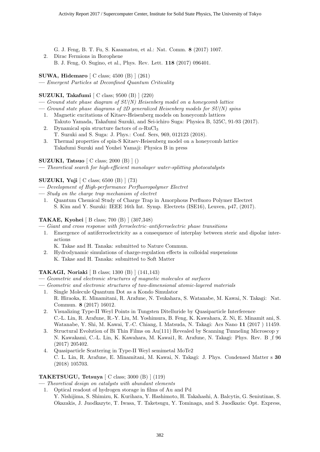G. J. Feng, B. T. Fu, S. Kasamatsu, et al.: Nat. Comm. 8 (2017) 1007.

2. Dirac Fermions in Borophene B. J. Feng, O. Sugino, et al., Phys. Rev. Lett. 118 (2017) 096401.

SUWA, Hidemaro [ C class; 4500 (B) ] (261)

— Emergent Particles at Deconfined Quantum Criticality

#### SUZUKI, Takafumi [ C class; 9500 (B) ] (220)

- Ground state phase diagram of  $SU(N)$  Heisenberg model on a honeycomb lattice
- Ground state phase diagrams of 2D generalized Heisenberg models for  $SU(N)$  spins
	- 1. Magnetic excitations of Kitaev-Heisenberg models on honeycomb lattices Takuto Yamada, Takafumi Suzuki, and Sei-ichiro Suga: Physica B, 525C, 91-93 (2017).
	- 2. Dynamical spin structure factors of  $\alpha$ -RuCl<sub>3</sub> T. Suzuki and S. Suga: J. Phys.: Conf. Sers, 969, 012123 (2018).
	- 3. Thermal properties of spin-S Kitaev-Heisenberg model on a honeycomb lattice Takafumi Suzuki and Youhei Yamaji: Physica B in press

#### SUZUKI, Tatsuo [ C class; 2000 (B) ] ()

— Theoretical search for high-efficient monolayer water-splitting photocatalysts

#### SUZUKI, Yuji [ C class; 6500 (B) ] (73)

- Development of High-performance Perfluoropolymer Electret
- Study on the charge trap mechanism of electret
	- 1. Quantum Chemical Study of Charge Trap in Amorphous Perfluoro Polymer Electret S. Kim and Y. Suzuki: IEEE 16th Int. Symp. Electrets (ISE16), Leuven, p47, (2017).

#### TAKAE, Kyohei [ B class; 700 (B) ] (307,348)

- Giant and cross response with ferroelectric–antiferroelectric phase transitions
- 1. Emergence of antiferroelectricity as a consequence of interplay between steric and dipolar interactions
	- K. Takae and H. Tanaka: submitted to Nature Commun.
- 2. Hydrodynamic simulations of charge-regulation effects in colloidal suspensions K. Takae and H. Tanaka: submitted to Soft Matter

#### TAKAGI, Noriaki [ B class; 1300 (B) ] (141,143)

- Geometric and electronic structures of magnetic molecules at surfaces
- Geometric and electronic structures of two-dimensional atomic-layered materials
	- 1. Single Molecule Quantum Dot as a Kondo Simulator R. Hiraoka, E. Minamitani, R. Arafune, N. Tsukahara, S. Watanabe, M. Kawai, N. Takagi: Nat. Commun. 8 (2017) 16012.
	- 2. Visualizing Type-II Weyl Points in Tungsten Ditelluride by Quasiparticle Interference C.-L. Lin, R. Arafune, R.-Y. Liu, M. Yoshimura, B. Feng, K. Kawahara, Z. Ni, E. Minamit ani, S. Watanabe, Y. Shi, M. Kawai, T.-C. Chiang, I. Matsuda, N. Takagi: Acs Nano 11 (2017 ) 11459.
	- 3. Structural Evolution of Bi Thin Films on Au(111) Revealed by Scanning Tunneling Microscop y N. Kawakami, C.-L. Lin, K. Kawahara, M. Kawai1, R. Arafune, N. Takagi: Phys. Rev. B \_f 96<br>(2017) 205402 (2017) 205402.
	- 4. Quasiparticle Scattering in Type-II Weyl semimetal MoTe2 C. L. Lin, R. Arafune, E. Minamitani, M. Kawai, N. Takagi: J. Phys. Condensed Matter s 30 (2018) 105703.

#### TAKETSUGU, Tetsuya [ C class; 3000 (B) ] (119)

— Theoretical design on catalysts with abundant elements

1. Optical readout of hydrogen storage in films of Au and Pd Y. Nishijima, S. Shimizu, K. Kurihara, Y. Hashimoto, H. Takahashi, A. Balcytis, G. Seniutinas, S. Okazakis, J. Juodkazyte, T. Iwasa, T. Taketsugu, Y. Tominaga, and S. Juodkazis: Opt. Express,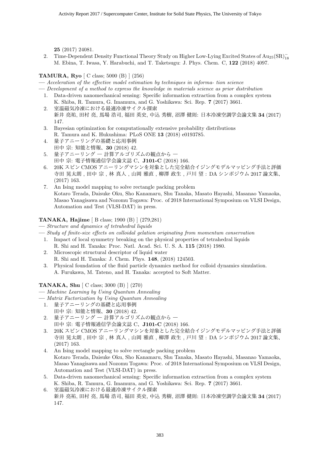25 (2017) 24081.

2. Time-Dependent Density Functional Theory Study on Higher Low-Lying Excited States of Au<sub>25</sub>(SR)<sup>-</sup><sub>18</sub> M. Ebina, T. Iwasa, Y. Harabuchi, and T. Taketsugu: J. Phys. Chem. C, 122 (2018) 4097.

#### TAMURA, Ryo [ C class; 5000 (B) ] (256)

— Acceleration of the effective model estimation by techniques in informa- tion science

— Development of a method to express the knowledge in materials science as prior distribution

- 1. Data-driven nanomechanical sensing: Specific information extraction from a complex system K. Shiba, R. Tamura, G. Imamura, and G. Yoshikawa: Sci. Rep. 7 (2017) 3661.
- 2. 室温磁気冷凍における最適冷凍サイクル探索 新井 亮祐, 田村 亮, 馬場 浩司, 福田 英史, 中込 秀樹, 沼澤 健則; 日本冷凍空調学会論文集 34 (2017) 147.
- 3. Bayesian optimization for computationally extensive probability distributions R. Tamura and K. Hukushima: PLoS ONE 13 (2018) e0193785.
- 4. 量子アニーリングの基礎と応用事例 田中宗: 知能と情報、30 (2018) 42.
- 5. 量子アニーリング 一 計算アルゴリズムの観点から 一 田中宗: 電子情報通信学会論文誌 C、J101-C (2018) 166.
- 6. 20K スピン CMOS アニーリングマシンを対象とした完全結合イジングモデルマッピング手法と評価 寺田 晃太朗, 田中 宗, 林 真人, 山岡 雅直, 柳澤 政生, 戸川 望: DA シンポジウム 2017 論文集、 (2017) 163.
- 7. An Ising model mapping to solve rectangle packing problem Kotaro Terada, Daisuke Oku, Sho Kanamaru, Shu Tanaka, Masato Hayashi, Masanao Yamaoka, Masao Yanagisawa and Nozomu Togawa: Proc. of 2018 International Symposium on VLSI Design, Automation and Test (VLSI-DAT) in press.

#### TANAKA, Hajime [ B class; 1900 (B) ] (279,281)

— Structure and dynamics of tetrahedral liquids

- Study of finite-size effects on colloidal gelation originating from momentum conservation
	- 1. Impact of local symmetry breaking on the physical properties of tetrahedral liquids R. Shi and H. Tanaka: Proc. Natl. Acad. Sci. U. S. A. 115 (2018) 1980.
	- 2. Microscopic structural descriptor of liquid water R. Shi and H. Tanaka: J. Chem. Phys. 148, (2018) 124503.
	- 3. Physical foundation of the fluid particle dynamics method for colloid dynamics simulation. A. Furukawa, M. Tateno, and H. Tanaka: accepted to Soft Matter.

#### TANAKA, Shu [ C class; 3000 (B) ] (270)

- Machine Learning by Using Quantum Annealing
- Matrix Factorization by Using Quantum Annealing
	- 1. 量子アニーリングの基礎と応用事例
	- 田中宗: 知能と情報、30 (2018) 42.
	- 2. 量子アニーリング 計算アルゴリズムの観点から 田中宗: 電子情報通信学会論文誌 C、J101-C (2018) 166.
	- 3. 20K スピン CMOS アニーリングマシンを対象とした完全結合イジングモデルマッピング手法と評価 寺田 晃太朗, 田中 宗, 林 真人, 山岡 雅直, 柳澤 政生, 戸川 望: DA シンポジウム 2017 論文集、 (2017) 163.
	- 4. An Ising model mapping to solve rectangle packing problem Kotaro Terada, Daisuke Oku, Sho Kanamaru, Shu Tanaka, Masato Hayashi, Masanao Yamaoka, Masao Yanagisawa and Nozomu Togawa: Proc. of 2018 International Symposium on VLSI Design, Automation and Test (VLSI-DAT) in press.
	- 5. Data-driven nanomechanical sensing: Specific information extraction from a complex system K. Shiba, R. Tamura, G. Imamura, and G. Yoshikawa: Sci. Rep. 7 (2017) 3661.
	- 6. 室温磁気冷凍における最適冷凍サイクル探索 新井 亮祐, 田村 亮, 馬場 浩司, 福田 英史, 中込 秀樹, 沼澤 健則: 日本冷凍空調学会論文集 34 (2017) 147.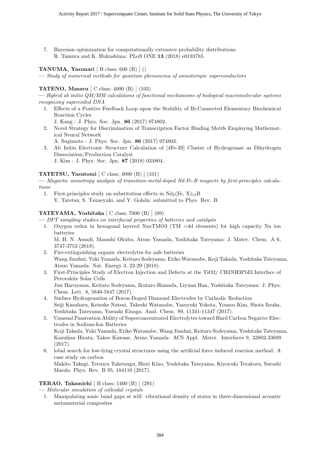7. Bayesian optimization for computationally extensive probability distributions R. Tamura and K. Hukushima: PLoS ONE 13 (2018) e0193785.

#### TANUMA, Yasunari  $[ B \text{ class}; 600 (B) ] ()$

— Study of numerical methods for quantum phenonema of anisotoropic superconductors

#### TATENO, Masaru [ C class; 4000 (B) ] (103)

— Hybrid ab initio QM/MM calculations of functional mechanisms of biological macromolecular systems recognizing supercoiled DNA

1. Effects of a Positive Feedback Loop upon the Stability of Bi-Connected Elementary Biochemical Reaction Cycles

J. Kang : J. Phys. Soc. Jpn. 86 (2017) 074802.

- 2. Novel Strategy for Discrimination of Transcription Factor Binding Motifs Employing Mathematical Neural Network
	- A. Sugimoto : J. Phys. Soc. Jpn. 86 (2017) 074803.
- 3. Ab Initio Electronic Structure Calculation of [4Fe-3S] Cluster of Hydrogenase as Dihydrogen Dissociation/Production Catalyst J. Kim : J. Phys. Soc. Jpn. 87 (2018) 034804.

#### TATETSU, Yasutomi [ C class; 4000 (B) ] (101)

— Magnetic anisotropy analysis of transition-metal-doped Nd-Fe-B magnets by first-principles calculations

1. First-principles study on substitution effects in  $Nd_2$ (Fe, X)<sub>14</sub>B Y. Tatetsu, S. Tsuneyuki, and Y. Gohda: submitted to Phys. Rev. B.

#### TATEYAMA, Yoshitaka  $\lceil C \text{ class}; 7000 \rceil$   $\lceil (69) \rceil$

— DFT sampling studies on interfacial properties of batteries and catalysts

1. Oxygen redox in hexagonal layered NaxTMO3 (TM =4d elements) for high capacity Na ion batteries

M. H. N. Assadi, Masashi Okubo, Atsuo Yamada, Yoshitaka Tateyama: J. Mater. Chem. A 6, 3747-3753 (2018).

- 2. Fire-extinguishing organic electrolytes for safe batteries Wang Jianhui, Yuki Yamada, Keitaro Sodeyama, Eriko Watanabe, Koji Takada, Yoshitaka Tateyama, Atsuo Yamada: Nat. Energy 3, 22-29 (2018).
- 3. First-Principles Study of Electron Injection and Defects at the TiO2/ CH3NH3PbI3 Interface of Perovskite Solar Cells Jun Haruyama, Keitato Sodeyama, Ikutaro Hamada, Liyuan Han, Yoshitaka Tateyama: J. Phys. Chem. Lett. 8, 5840-5847 (2017).
- 4. Surface Hydrogenation of Boron-Doped Diamond Electrodes by Cathodic Reduction Seiji Kasahara, Keisuke Natsui, Takeshi Watanabe, Yasuyuki Yokota, Yousoo Kim, Shota Iizuka, Yoshitaka Tateyama, Yasuaki Einaga: Anal. Chem. 89, 11341-11347 (2017).
- 5. Unusual Passivation Ability of Superconcentrated Electrolytes toward Hard Carbon Negative Electrodes in Sodium-Ion Batteries Koji Takada, Yuki Yamada, Eriko Watanabe, Wang Jianhui, Keitaro Sodeyama, Yoshitaka Tateyama, Kazuhisa Hirata, Takeo Kawase, Atsuo Yamada: ACS Appl. Mater. Interfaces 9, 33802-33809 (2017).
- 6. lobal search for low-lying crystal structures using the artificial force induced reaction method: A case study on carbon Makito Takagi, Tetsuya Taketsugu, Hiori Kino, Yoshitaka Tateyama, Kiyoyuki Terakura, Satoshi Maeda: Phys. Rev. B 95, 184110 (2017).

#### TERAO, Takamichi [ B class; 1400 (B) ] (291)

— Molecular simulation of colloidal crystals

1. Manipulating sonic band gaps at will: vibrational density of states in three-dimensional acoustic metamaterial composites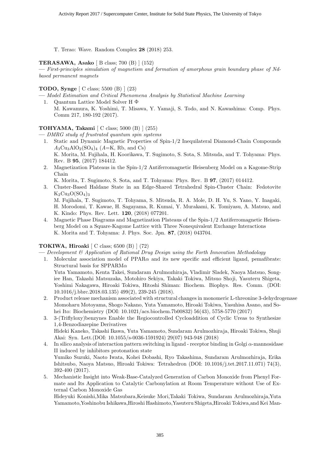T. Terao: Wave. Random Complex 28 (2018) 253.

#### TERASAWA, Asako [ B class; 700 (B) ] (152)

— First-principles simulation of magnetism and formation of amorphous grain boundary phase of Ndbased permanent magnets

#### TODO, Synge [ C class; 5500 (B) ] (23)

- Model Estimation and Critical Phenomena Analysis by Statistical Machine Learning 1. Quantum Lattice Model Solver H $\Phi$ 
	- M. Kawamura, K. Yoshimi, T. Misawa, Y. Yamaji, S. Todo, and N. Kawashima: Comp. Phys. Comm 217, 180-192 (2017).

#### TOHYAMA, Takami [ C class; 5000 (B) ] (255)

— DMRG study of frustrated quantum spin systems

- 1. Static and Dynamic Magnetic Properties of Spin-1/2 Inequilateral Diamond-Chain Compounds  $A_3Cu_3AlO_2(SO_4)_4$  (A=K, Rb, and Cs) K. Morita, M. Fujihala, H. Koorikawa, T. Sugimoto, S. Sota, S. Mitsuda, and T. Tohyama: Phys. Rev. B 95, (2017) 184412.
- 2. Magnetization Plateaus in the Spin-1/2 Antiferromagnetic Heisenberg Model on a Kagome-Strip Chain

K. Morita, T. Sugimoto, S. Sota, and T. Tohyama: Phys. Rev. B 97, (2017) 014412.

3. Cluster-Based Haldane State in an Edge-Shared Tetrahedral Spin-Cluster Chain: Fedotovite  $K_2Cu_3O(SO_4)_3$ 

M. Fujihala, T. Sugimoto, T. Tohyama, S. Mitsuda, R. A. Mole, D. H. Yu, S. Yano, Y. Inagaki, H. Morodomi, T. Kawae, H. Sagayama, R. Kumai, Y. Murakami, K. Tomiyasu, A. Matsuo, and K. Kindo: Phys. Rev. Lett. 120, (2018) 077201.

4. Magnetic Phase Diagrams and Magnetization Plateaus of the Spin-1/2 Antiferromagnetic Heisenberg Model on a Square-Kagome Lattice with Three Nonequivalent Exchange Interactions K. Morita and T. Tohyama: J. Phys. Soc. Jpn. 87, (2018) 043704.

#### TOKIWA, Hiroaki  $\vert$  C class; 6500  $\vert$  (3)  $\vert$  (72)

- $-$  Development  $\mathscr B$  Application of Rational Drug Design using the Forth Innovation Methodology
- 1. Molecular association model of  $PPAR\alpha$  and its new specific and efficient ligand, pemafibrate: Structural basis for SPPARM $\alpha$

Yuta Yamamoto, Kenta Takei, Sundaram Arulmozhiraja, Vladimir Sladek, Naoya Matsuo, Songiee Han, Takashi Matsuzaka, Motohiro Sekiya, Takaki Tokiwa, Mitsuo Shoji, Yasuteru Shigeta, Yoshimi Nakagawa, Hiroaki Tokiwa, Hitoshi Shiman: Biochem. Biophys. Res. Comm. (DOI: 10.1016/j.bbrc.2018.03.135) 499(2), 239-245 (2018).

- 2. Product release mechanism associated with structural changes in monomeric L-threonine 3-dehydrogenase Momoharu Motoyama, Shogo Nakano, Yuta Yamamoto, Hiroaki Tokiwa, Yasuhisa Asano, and Sohei Ito: Biochemistry (DOI: 10.1021/acs.biochem.7b00832) 56(43), 5758-5770 (2017)
- 3. 3-(Triflyloxy)benzynes Enable the Regiocontrolled Cycloaddition of Cyclic Ureas to Synthesize 1,4-Benzodiazepine Derivatives Hideki Kaneko, Takashi Ikawa, Yuta Yamamoto, Sundaram Arulmozhiraja, Hiroaki Tokiwa, Shuji Akai: Syn. Lett.(DOI: 10.1055/s-0036-1591924) 29(07) 943-948 (2018)
- 4. In silico analysis of interaction pattern switching in ligand receptor binding in Golgi α-mannosidase II induced by inhibitors protonation state Yumiko Suzuki, Naoto Iwata, Kohei Dobashi, Ryo Takashima, Sundaram Arulmozhiraja, Erika Ishitsubo, Naoya Matsuo, Hiroaki Tokiwa: Tetrahedron (DOI: 10.1016/j.tet.2017.11.071) 74(3), 392-400 (2017).
- 5. Mechanistic Insight into Weak-Base-Catalyzed Generation of Carbon Monoxide from Phenyl Formate and Its Application to Catalytic Carbonylation at Room Temperature without Use of External Carbon Monoxide Gas

Hideyuki Konishi,Mika Matsubara,Keisuke Mori,Takaki Tokiwa, Sundaram Arulmozhiraja,Yuta Yamamoto,Yoshinobu Ishikawa,Hiroshi Hashimoto,Yasuteru Shigeta,Hiroaki Tokiwa,and Kei Man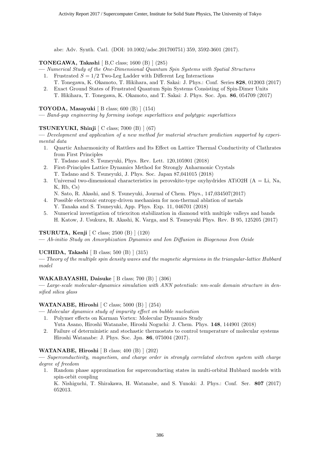abe: Adv. Synth. Catl. (DOI: 10.1002/adsc.201700751) 359, 3592-3601 (2017).

#### TONEGAWA, Takashi [ B,C class; 1600 (B) ] (285)

- Numerical Study of the One-Dimensional Quantum Spin Systems with Spatial Structures
	- 1. Frustrated  $S = 1/2$  Two-Leg Ladder with Different Leg Interactions
	- T. Tonegawa, K. Okamoto, T. Hikihara, and T. Sakai: J. Phys.: Conf. Series 828, 012003 (2017) 2. Exact Ground States of Frustrated Quantum Spin Systems Consisting of Spin-Dimer Units
		- T. Hikihara, T. Tonegawa, K. Okamoto, and T. Sakai: J. Phys. Soc. Jpn. 86, 054709 (2017)

#### TOYODA, Masayuki [ B class; 600 (B) ] (154)

— Band-gap engineering by forming isotope superlattices and polytypic superlattices

#### **TSUNEYUKI, Shinji**  $\left[$  C class; 7000  $\left(B\right)$   $\right]$   $(67)$

— Development and application of a new method for material structure prediction supported by experimental data

- 1. Quartic Anharmonicity of Rattlers and Its Effect on Lattice Thermal Conductivity of Clathrates from First Principles
	- T. Tadano and S. Tsuneyuki, Phys. Rev. Lett. 120,105901 (2018)
- 2. First-Principles Lattice Dynamics Method for Strongly Anharmonic Crystals T. Tadano and S. Tsuneyuki, J. Phys. Soc. Japan 87,041015 (2018)
- 3. Universal two-dimensional characteristics in perovskite-type oxyhydrides ATiO2H ( $A = Li$ , Na, K, Rb, Cs)
	- N. Sato, R. Akashi, and S. Tsuneyuki, Journal of Chem. Phys., 147,034507(2017)
- 4. Possible electronic entropy-driven mechanism for non-thermal ablation of metals Y. Tanaka and S. Tsuneyuki, App. Phys. Exp. 11, 046701 (2018)
- 5. Numerical investigation of triexciton stabilization in diamond with multiple valleys and bands H. Katow, J. Usukura, R. Akashi, K. Varga, and S. Tsuneyuki Phys. Rev. B 95, 125205 (2017)

#### TSURUTA, Kenji [ C class; 2500 (B) ] (120)

— Ab-initio Study on Amorphization Dynamics and Ion Diffusion in Biogenous Iron Oxide

#### UCHIDA, Takashi [ B class; 500 (B) ] (315)

— Theory of the multiple spin density waves and the magnetic skyrmions in the triangular-lattice Hubbard model

#### WAKABAYASHI, Daisuke [ B class; 700 (B) ] (306)

— Large-scale molecular-dynamics simulation with ANN potentials: nm-scale domain structure in densified silica glass

#### WATANABE, Hiroshi [ C class; 5000 (B) ] (254)

- Molecular dynamics study of impurity effect on bubble nucleation
- 1. Polymer effects on Karman Vortex: Molecular Dynamics Study Yuta Asano, Hiroshi Watanabe, Hiroshi Noguchi: J. Chem. Phys. 148, 144901 (2018)
- 2. Failure of deterministic and stochastic thermostats to control temperature of molecular systems Hiroshi Watanabe: J. Phys. Soc. Jpn. 86, 075004 (2017).

#### WATANABE, Hiroshi [ B class; 400 (B) ] (202)

— Superconductivity, magnetism, and charge order in strongly correlated electron system with charge degree of freedom

1. Random phase approximation for superconducting states in multi-orbital Hubbard models with spin-orbit coupling

K. Nishiguchi, T. Shirakawa, H. Watanabe, and S. Yunoki: J. Phys.: Conf. Ser. 807 (2017) 052013.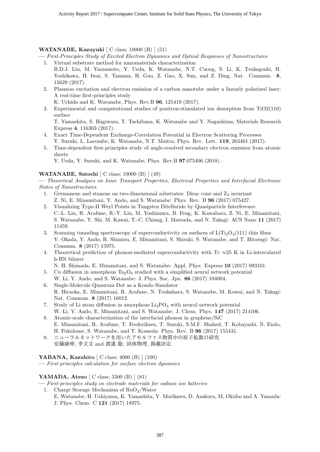#### WATANABE, Kazuyuki [ C class; 10000 (B) ] (51)

— First-Principles Study of Excited Electron Dynamics and Optical Responses of Nanostructures 1. Virtual substrate method for nanomaterials characterization

- B.D.J. Liu, M. Yamamoto, Y. Ueda, K. Watanabe, N.T. Cuong, S. Li, K. Tsukagoshi, H. Yoshikawa, H. Iwai, S. Tanuma, H. Guo, Z. Gao, X. Sun, and Z. Ding, Nat. Commun. 8, 15629 (2017).
- 2. Plasmon excitation and electron emission of a carbon nanotube under a linearly polarized laser: A real-time first-principles study

K. Uchida and K. Watanabe, Phys. Rev.B 96, 125419 (2017).

3. Experimental and computational studies of positron-stimulated ion desorption from TiO2(110) surface

T. Yamashita, S. Hagiwara, T. Tachibana, K. Watanabe and Y. Nagashima, Materials Research Express 4, 116303 (2017).

- 4. Exact Time-Dependent Exchange-Correlation Potential in Electron Scattering Processes Y. Suzuki, L. Lacombe, K. Watanabe, N.T. Maitra, Phys. Rev. Lett. 119, 263401 (2017).
- 5. Time-dependent first-principles study of angle-resolved secondary electron emission from atomic sheets

Y. Ueda, Y. Suzuki, and K. Watanabe, Phys. Rev.B 97,075406 (2018).

#### WATANABE, Satoshi [ C class; 10000 (B) ] (49)

— Theoretical Analyses on Ionic Transport Properties, Electrical Properties and Interfacial Electronic States of Nanostructures

- 1. Germanene and stanene on two-dimensional substrates: Dirac cone and  $Z_2$  invariant Z. Ni, E. Minamitani, Y. Ando, and S. Watanabe: Phys. Rev. B 96 (2017) 075427.
- 2. Visualizing Type-II Weyl Points in Tungsten Ditelluride by Quasiparticle Interference C.-L. Lin, R. Arafune, R.-Y. Liu, M. Yoshimura, B. Feng, K. Kawahara, Z. Ni, E. Minamitani, S. Watanabe, Y. Shi, M. Kawai, T.-C. Chiang, I. Matsuda, and N. Takagi: ACS Nano 11 (2017) 11459.
- 3. Scanning tunneling spectroscopy of superconductivity on surfaces of  $LiTi<sub>2</sub>O<sub>4</sub>(111)$  thin films Y. Okada, Y. Ando, R. Shimizu, E. Minamitani, S. Shiraki, S. Watanabe, and T. Hitosugi: Nat. Commun. 8 (2017) 15975.
- 4. Theoretical prediction of phonon-mediated superconductivity with Tc  $\approx$  25 K in Li-intercalated h-BN bilayer

N. H. Shimada, E. Minamitani, and S. Watanabe: Appl. Phys. Express 10 (2017) 093101.

- 5. Cu diffusion in amorphous  $Ta_2O_5$  studied with a simplified neural network potential
- W. Li, Y. Ando, and S. Watanabe: J. Phys. Soc. Jpn. 86 (2017) 104004. 6. Single-Molecule Quantum Dot as a Kondo Simulator
- R. Hiraoka, E. Minamitani, R. Arafune, N. Tsukahara, S. Watanabe, M. Kawai, and N. Takagi: Nat. Commun. 8 (2017) 16012.
- 7. Study of Li atom diffusion in amorphous  $\text{Li}_3\text{PO}_4$  with neural network potential W. Li, Y. Ando, E. Minamitani, and S. Watanabe: J. Chem. Phys. 147 (2017) 214106.
- 8. Atomic-scale characterization of the interfacial phonon in graphene/SiC E. Minamitani, R. Arafune, T. Frederiksen, T. Suzuki, S.M.F. Shahed, T. Kobayashi, N. Endo, H. Fukidome, S. Watanabe, and T. Komeda: Phys. Rev. B 96 (2017) 155431.
- 9. ニューラルネットワークを用いたアモルファス物質中の原子拡散の研究 安藤康伸, 李文文 and 渡邉 聡: 固体物理, 掲載決定.

#### YABANA, Kazuhiro [ C class; 4000 (B) ] (100)

— First-principles calculation for surface electron dynamics

#### YAMADA, Atsuo [ C class; 5500 (B) ] (81)

— First-principles study on electrode materials for sodium ion batteries

1. Charge Storage Mechanism of  $RuO<sub>2</sub>/Water$ E. Watanabe, H. Ushiyama, K. Yamashita, Y. Morikawa, D. Asakura, M, Okubo and A. Yamada: J. Phys. Chem. C 121 (2017) 18975.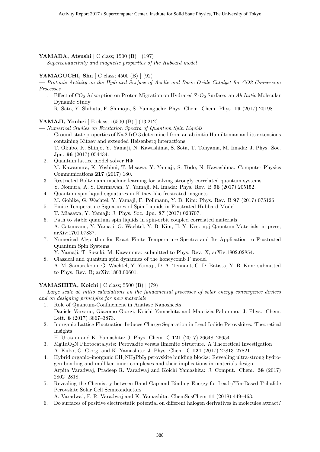#### YAMADA, Atsushi [ C class; 1500 (B) ] (197)

— Superconductivity and magnetic properties of the Hubbard model

#### YAMAGUCHI, Shu  $\vert$  C class; 4500 (B)  $\vert$  (92)

— Protonic Activity on the Hydrated Surface of Acidic and Basic Oxide Catalyst for CO2 Conversion Processes

1. Effect of CO<sub>2</sub> Adsorption on Proton Migration on Hydrated ZrO<sub>2</sub> Surface: an Ab Initio Molecular Dynamic Study

R. Sato, Y. Shibuta, F. Shimojo, S. Yamaguchi: Phys. Chem. Chem. Phys. 19 (2017) 20198.

#### YAMAJI, Youhei [ E class; 16500 (B) ] (13,212)

— Numerical Studies on Excitation Spectra of Quantum Spin Liquids

- 1. Ground-state properties of Na 2 IrO 3 determined from an ab initio Hamiltonian and its extensions containing Kitaev and extended Heisenberg interactions T. Okubo, K. Shinjo, Y. Yamaji, N. Kawashima, S. Sota, T. Tohyama, M. Imada: J. Phys. Soc. Jpn. 96 (2017) 054434.
- 2. Quantum lattice model solver HΦ M. Kawamura, K. Yoshimi, T. Misawa, Y. Yamaji, S. Todo, N. Kawashima: Computer Physics Communications 217 (2017) 180.
- 3. Restricted Boltzmann machine learning for solving strongly correlated quantum systems Y. Nomura, A. S. Darmawan, Y. Yamaji, M. Imada: Phys. Rev. B 96 (2017) 205152.
- 4. Quantum spin liquid signatures in Kitaev-like frustrated magnets M. Gohlke, G. Wachtel, Y. Yamaji, F. Pollmann, Y. B. Kim: Phys. Rev. B 97 (2017) 075126.
- 5. Finite-Temperature Signatures of Spin Liquids in Frustrated Hubbard Model T. Miasawa, Y. Yamaji: J. Phys. Soc. Jpn. 87 (2017) 023707.
- 6. Path to stable quantum spin liquids in spin-orbit coupled correlated materials A. Catuneanu, Y. Yamaji, G. Wachtel, Y. B. Kim, H.-Y. Kee: npj Qauntum Materials, in press; arXiv:1701.07837.
- 7. Numerical Algorithm for Exact Finite Temperature Spectra and Its Application to Frustrated Quantum Spin Systems

Y. Yamaji, T. Suzuki, M. Kawamura: submitted to Phys. Rev. X; arXiv:1802.02854.

8. Classical and quantum spin dynamics of the honeycomb Γ model A. M. Samarakoon, G. Wachtel, Y. Yamaji, D. A. Tennant, C. D. Batista, Y. B. Kim: submitted to Phys. Rev. B; arXiv:1803.00601.

#### YAMASHITA, Koichi  $\vert$  C class; 5500 (B)  $\vert$  (79)

— Large scale ab initio calculations on the fundamental processes of solar energy convergence devices and on designing principles for new materials

- 1. Role of Quantum-Confinement in Anatase Nanosheets Daniele Varsano, Giacomo Giorgi, Koichi Yamashita and Maurizia Palummo: J. Phys. Chem. Lett. 8 (2017) 3867–3873.
- 2. Inorganic Lattice Fluctuation Induces Charge Separation in Lead Iodide Perovskites: Theoretical Insights

H. Uratani and K. Yamashita: J. Phys. Chem. C 121 (2017) 26648–26654.

- 3. MgTaO2N Photocatalysts: Perovskite versus Ilmenite Structure. A Theoretical Investigation A. Kubo, G. Giorgi and K. Yamashita: J. Phys. Chem. C 121 (2017) 27813–27821.
- 4. Hybrid organic–inorganic CH3NH3PbI<sup>3</sup> perovskite building blocks: Revealing ultra-strong hydrogen bonding and mulliken inner complexes and their implications in materials design Arpita Varadwaj, Pradeep R. Varadwaj and Koichi Yamashita: J. Comput. Chem. 38 (2017) 2802–2818.
- 5. Revealing the Chemistry between Band Gap and Binding Energy for Lead-/Tin-Based Trihalide Perovskite Solar Cell Semiconductors

A. Varadwaj, P. R. Varadwaj and K. Yamashita: ChemSusChem 11 (2018) 449–463.

6. Do surfaces of positive electrostatic potential on different halogen derivatives in molecules attract?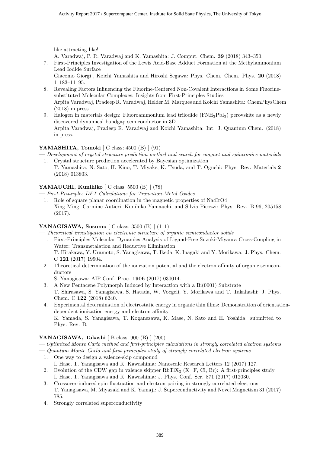like attracting like!

A. Varadwaj, P. R. Varadwaj and K. Yamashita: J. Comput. Chem. 39 (2018) 343–350.

7. First-Principles Investigation of the Lewis Acid-Base Adduct Formation at the Methylammonium Lead Iodide Surface

Giacomo Giorgi , Koichi Yamashita and Hiroshi Segawa: Phys. Chem. Chem. Phys. 20 (2018) 11183–11195.

- 8. Revealing Factors Influencing the Fluorine-Centered Non-Covalent Interactions in Some Fluorinesubstituted Molecular Complexes: Insights from First-Principles Studies Arpita Varadwaj, Pradeep R. Varadwaj, Helder M. Marques and Koichi Yamashita: ChemPhysChem (2018) in press.
- 9. Halogen in materials design: Fluoroammonium lead triiodide (FNH3PbI3) perovskite as a newly discovered dynamical bandgap semiconductor in 3D Arpita Varadwaj, Pradeep R. Varadwaj and Koichi Yamashita: Int. J. Quantum Chem. (2018) in press.

#### YAMASHITA, Tomoki  $\lceil C \text{ class}; 4500 \rceil \rceil \rceil (91)$

- Development of crystal structure prediction method and search for magnet and spintronics materials 1. Crystal structure prediction accelerated by Bayesian optimization
	- T. Yamashita, N. Sato, H. Kino, T. Miyake, K. Tsuda, and T. Oguchi: Phys. Rev. Materials 2 (2018) 013803.

#### YAMAUCHI, Kunihiko [ C class; 5500 (B) ] (78)

— First-Principles DFT Calculations for Transition-Metal Oxides

1. Role of square planar coordination in the magnetic properties of Na4IrO4 Xing Ming, Carmine Autieri, Kunihiko Yamauchi, and Silvia Picozzi: Phys. Rev. B 96, 205158 (2017).

#### YANAGISAWA, Susumu [ C class; 3500 (B) ] (111)

- Theoretical investigation on electronic structure of organic semiconductor solids 1. First-Principles Molecular Dynamics Analysis of Ligand-Free Suzuki-Miyaura Cross-Coupling in Water: Transmetalation and Reductive Elimination T. Hirakawa, Y. Uramoto, S. Yanagisawa, T. Ikeda, K. Inagaki and Y. Morikawa: J. Phys. Chem. C 121 (2017) 19904.
	- 2. Theoretical determination of the ionization potential and the electron affinity of organic semiconductors

S. Yanagisawa: AIP Conf. Proc. 1906 (2017) 030014.

- 3. A New Pentacene Polymorph Induced by Interaction with a Bi(0001) Substrate T. Shirasawa, S. Yanagisawa, S. Hatada, W. Voegeli, Y. Morikawa and T. Takahashi: J. Phys. Chem. C 122 (2018) 6240.
- 4. Experimental determination of electrostatic energy in organic thin films: Demonstration of orientationdependent ionization energy and electron affinity K. Yamada, S. Yanagisawa, T. Koganezawa, K. Mase, N. Sato and H. Yoshida: submitted to Phys. Rev. B.

#### YANAGISAWA, Takashi [ B class; 900 (B) ] (200)

— Optimized Monte Carlo method and first-principles calculations in strongly correlated electron systems

— Quantum Monte Carlo and first-principles study of strongly correlated electron systems

- 1. One way to design a valence-skip compound I. Hase, T. Yanagisawa and K. Kawashima: Nanoscale Research Letters 12 (2017) 127.
- 2. Evolution of the CDW gap in valence skipper  $RbTIX_3$  (X=F, Cl, Br): A first-principles study I. Hase, T. Yanagisawa and K. Kawashima: J. Phys. Conf. Ser. 871 (2017) 012030.
- 3. Crossover-induced spin fluctuation and electron pairing in strongly correlated electrons T. Yanagisawa, M. Miyazaki and K. Yamaji: J. Superconductivity and Novel Magnetism 31 (2017) 785.
- 4. Strongly correlated superconductivity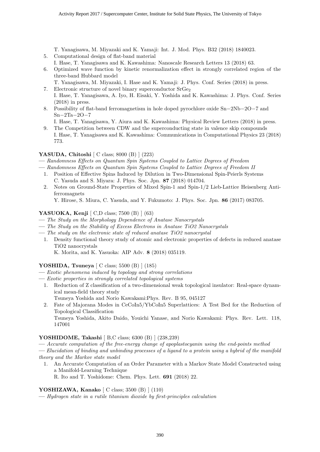T. Yanagisawa, M. Miyazaki and K. Yamaji: Int. J. Mod. Phys. B32 (2018) 1840023.

- 5. Computational design of flat-band material
- I. Hase, T. Yanagisawa and K. Kawashima: Nanoscale Research Letters 13 (2018) 63.
- 6. Optimized wave function by kinetic renormalization effect in strongly correlated region of the three-band Hubbard model
	- T. Yanagisawa, M. Miyazaki, I. Hase and K. Yamaji: J. Phys. Conf. Series (2018) in press.
- 7. Electronic structure of novel binary superconductor  $S_{rGe2}$ I. Hase, T. Yanagisawa, A. Iyo, H. Eisaki, Y. Yoshida and K. Kawashima: J. Phys. Conf. Series (2018) in press.
- 8. Possibility of flat-band ferromagnetism in hole doped pyrochlore oxide Sn−2Nb−2O−7 and  $Sn-2Ta-2O-7$

I. Hase, T. Yanagisawa, Y. Aiura and K. Kawashima: Physical Review Letters (2018) in press. 9. The Competition between CDW and the superconducting state in valence skip compounds

I. Hase, T. Yanagisawa and K. Kawashima: Communications in Computational Physics 23 (2018) 773.

#### YASUDA, Chitoshi [ C class; 8000 (B) ] (223)

— Randomness Effects on Quantum Spin Systems Coupled to Lattice Degrees of Freedom

- Randomness Effects on Quantum Spin Systems Coupled to Lattice Degrees of Freedom II
	- 1. Position of Effective Spins Induced by Dilution in Two-Dimensional Spin-Peierls Systems C. Yasuda and S. Miyara: J. Phys. Soc. Jpn. 87 (2018) 014704.
	- 2. Notes on Ground-State Properties of Mixed Spin-1 and Spin-1/2 Lieb-Lattice Heisenberg Antiferromagnets

Y. Hirose, S. Miura, C. Yasuda, and Y. Fukumoto: J. Phys. Soc. Jpn. 86 (2017) 083705.

#### YASUOKA, Kenji [ C,D class; 7500 (B) ] (63)

- The Study on the Morphology Dependence of Anatase Nanocrystals
- The Study on the Stability of Excess Electrons in Anatase TiO2 Nanocrystals
- The study on the electronic state of reduced anatase  $TiO2$  nanocrystal
- 1. Density functional theory study of atomic and electronic properties of defects in reduced anatase TiO2 nanocrystals

K. Morita, and K. Yasuoka: AIP Adv. 8 (2018) 035119.

#### YOSHIDA, Tsuneya [ C class; 5500 (B) ] (185)

- Exotic phenomena induced by topology and strong correlations
- Exotic properties in strongly correlated topological systems
	- 1. Reduction of Z classification of a two-dimensional weak topological insulator: Real-space dynamical mean-field theory study
		- Tsuneya Yoshida and Norio Kawakami:Phys. Rev. B 95, 045127
	- 2. Fate of Majorana Modes in CeCoIn5/YbCoIn5 Superlattices: A Test Bed for the Reduction of Topological Classification Tsuneya Yoshida, Akito Daido, Youichi Yanase, and Norio Kawakami: Phys. Rev. Lett. 118, 147001

#### YOSHIDOME, Takashi [ B,C class; 6300 (B) ] (238,239)

— Accurate computation of the free-energy change of apoplastocyanin using the end-points method

— Elucidation of binding and unbinding processes of a ligand to a protein using a hybrid of the manifold theory and the Markov state model

- 1. An Accurate Computation of an Order Parameter with a Markov State Model Constructed using a Manifold-Learning Technique
	- R. Ito and T. Yoshidome: Chem. Phys. Lett. 691 (2018) 22.

#### YOSHIZAWA, Kanako [ C class; 3500 (B) ] (110)

— Hydrogen state in a rutile titanium dioxide by first-principles calculation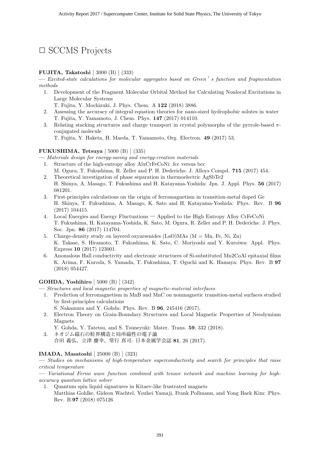## □ SCCMS Projects

#### FUJITA, Takatoshi [ 3000 (B) ] (333)

 $\overline{C}$  Excited-state calculations for molecular aggregates based on Green's function and fragmentation methods

- 1. Development of the Fragment Molecular Orbital Method for Calculating Nonlocal Excitations in Large Molecular Systems
	- T. Fujita, Y. Mochizuki, J. Phys. Chem. A 122 (2018) 3886.
- 2. Assessing the accuracy of integral equation theories for nano-sized hydrophobic solutes in water T. Fujita, Y. Yamamoto, J. Chem. Phys. 147 (2017) 014110.
- 3. Relating stacking structures and charge transport in crystal polymorphs of the pyrrole-based  $\pi$ conjugated molecule

T. Fujita, Y. Haketa, H. Maeda, T. Yamamoto, Org. Electron. 49 (2017) 53.

#### FUKUSHIMA, Tetsuya [ 5000 (B) ] (335)

— Materials design for energy-saving and energy-creation materials

- 1. Structure of the high-entropy alloy AlxCrFeCoNi: fcc versus bcc M. Ogura, T. Fukushima, R. Zeller and P. H. Dederichs: J. Alloys Compd. 715 (2017) 454.
- 2. Theoretical investigation of phase separation in thermoelectric AgSbTe2 H. Shinya, A. Masago, T. Fukushima and H. Katayama-Yoshida: Jpn. J. Appl. Phys. 56 (2017) 081201.
- 3. First-principles calculations on the origin of ferromagnetism in transition-metal doped Ge H. Shinya, T. Fukushima, A. Masago, K. Sato and H. Katayama-Yoshida: Phys. Rev. B 96 (2017) 104415.
- 4. Local Energies and Energy Fluctuations Applied to the High Entropy Alloy CrFeCoNi T. Fukushima, H. Katayama-Yoshida, K. Sato, M. Ogura, R. Zeller and P. H. Dederichs: J. Phys. Soc. Jpn. 86 (2017) 114704.
- 5. Charge-density study on layered oxyarsenides  $(LaO)MAs$   $(M = Mn, Fe, Ni, Zn)$ K. Takase, S. Hiramoto, T. Fukushima, K. Sato, C. Moriyoshi and Y. Kuroiwa: Appl. Phys. Express 10 (2017) 123001.
- 6. Anomalous Hall conductivity and electronic structures of Si-substituted Mn2CoAl epitaxial films K. Arima, F. Kuroda, S. Yamada, T. Fukushima, T. Oguchi and K. Hamaya: Phys. Rev. B 97 (2018) 054427.

#### GOHDA, Yoshihiro [ 5000 (B) ] (342)

— Structures and local magnetic properties of magnetic-material interfaces

- 1. Prediction of ferromagnetism in MnB and MnC on nonmagnetic transition-metal surfaces studied by first-principles calculations
	- S. Nakamura and Y. Gohda: Phys. Rev. B 96, 245416 (2017).
- 2. Electron Theory on Grain-Boundary Structures and Local Magnetic Properties of Neodymium Magnets

Y. Gohda, Y. Tatetsu, and S. Tsuneyuki: Mater. Trans. 59, 332 (2018).

3. ネオジム磁石の粒界構造と局所磁性の電子論 合田 義弘、立津 慶幸、常行 真司: 日本金属学会誌 81, 26 (2017).

#### IMADA, Masatoshi [ 25000 (B) ] (323)

— Studies on mechanisms of high-temperature superconductivity and search for principles that raise critical temperature

— Variational Fermi wave function combined with tensor network and machine learning for highaccuracy quantum lattice solver

1. Quantum spin liquid signatures in Kitaev-like frustrated magnets Matthias Gohlke, Gideon Wachtel, Youhei Yamaji, Frank Pollmann, and Yong Baek Kim: Phys. Rev. B.97 (2018) 075126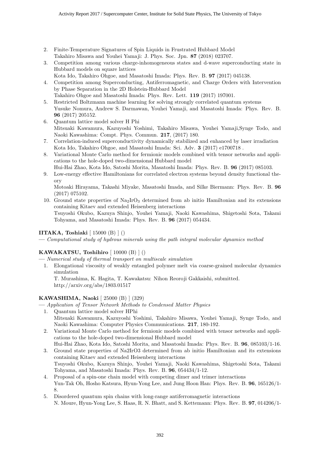- 2. Finite-Temperature Signatures of Spin Liquids in Frustrated Hubbard Model Takahiro Misawa and Youhei Yamaji: J. Phys. Soc. Jpn. 87 (2018) 023707.
- 3. Competition among various charge-inhomogeneous states and d-wave superconducting state in Hubbard models on square lattices
- Kota Ido, Takahiro Ohgoe, and Masatoshi Imada: Phys. Rev. B. 97 (2017) 045138.
- 4. Competition among Superconducting, Antiferromagnetic, and Charge Orders with Intervention by Phase Separation in the 2D Holstein-Hubbard Model
- Takahiro Ohgoe and Masatoshi Imada: Phys. Rev. Lett. 119 (2017) 197001.
- 5. Restricted Boltzmann machine learning for solving strongly correlated quantum systems Yusuke Nomura, Andrew S. Darmawan, Youhei Yamaji, and Masatoshi Imada: Phys. Rev. B. 96 (2017) 205152.
- 6. Quantum lattice model solver H Phi Mitsuaki Kawamura, Kazuyoshi Yoshimi, Takahiro Misawa, Youhei Yamaji,Synge Todo, and Naoki Kawashima: Compt. Phys. Commun. 217, (2017) 180.
- 7. Correlation-induced superconductivity dynamically stabilized and enhanced by laser irradiation Kota Ido, Takahiro Ohgoe, and Masatoshi Imada: Sci. Adv. 3 (2017) e1700718 .
- 8. Variational Monte Carlo method for fermionic models combined with tensor networks and applications to the hole-doped two-dimensional Hubbard model
- Hui-Hai Zhao, Kota Ido, Satoshi Morita, Masatoshi Imada: Phys. Rev. B. 96 (2017) 085103.
- 9. Low-energy effective Hamiltonians for correlated electron systems beyond density functional theory

Motoaki Hirayama, Takashi Miyake, Masatoshi Imada, and Silke Biermann: Phys. Rev. B. 96 (2017) 075102.

10. Ground state properties of  $\text{Na}_2\text{IrO}_3$  determined from ab initio Hamiltonian and its extensions containing Kitaev and extended Heisenberg interactions Tsuyoshi Okubo, Kazuya Shinjo, Youhei Yamaji, Naoki Kawashima, Shigetoshi Sota, Takami Tohyama, and Masatoshi Imada: Phys. Rev. B. 96 (2017) 054434.

#### IITAKA, Toshiaki  $\vert$  15000 (B)  $\vert$  ()

— Computational study of hydrous minerals using the path integral molecular dynamics method

#### KAWAKATSU, Toshihiro [ 10000 (B) ] ()

- Numerical study of thermal transport on multiscale simulation
- 1. Elongational viscosity of weakly entangled polymer melt via coarse-grained molecular dynamics simulation

T. Murashima, K. Hagita, T. Kawakatsu: Nihon Reoroji Gakkaishi, submitted. http://arxiv.org/abs/1803.01517

#### KAWASHIMA, Naoki [ 25000 (B) ] (329)

— Application of Tensor Network Methods to Condensed Matter Physics

- 1. Quantum lattice model solver HPhi Mitsuaki Kawamura, Kazuyoshi Yoshimi, Takahiro Misawa, Youhei Yamaji, Synge Todo, and Naoki Kawashima: Computer Physics Communications. 217, 180-192.
- 2. Variational Monte Carlo method for fermionic models combined with tensor networks and applications to the hole-doped two-dimensional Hubbard model
	- Hui-Hai Zhao, Kota Ido, Satoshi Morita, and Masatoshi Imada: Phys. Rev. B. 96, 085103/1-16.
- 3. Ground state properties of Na2IrO3 determined from ab initio Hamiltonian and its extensions containing Kitaev and extended Heisenberg interactions
- Tsuyoshi Okubo, Kazuya Shinjo, Youhei Yamaji, Naoki Kawashima, Shigetoshi Sota, Takami Tohyama, and Masatoshi Imada: Phys. Rev. B. 96, 054434/1-12.
- 4. Proposal of a spin-one chain model with competing dimer and trimer interactions Yun-Tak Oh, Hosho Katsura, Hyun-Yong Lee, and Jung Hoon Han: Phys. Rev. B. 96, 165126/1- 8.
- 5. Disordered quantum spin chains with long-range antiferromagnetic interactions N. Moure, Hyun-Yong Lee, S. Haas, R. N. Bhatt, and S. Kettemann: Phys. Rev. B. 97, 014206/1-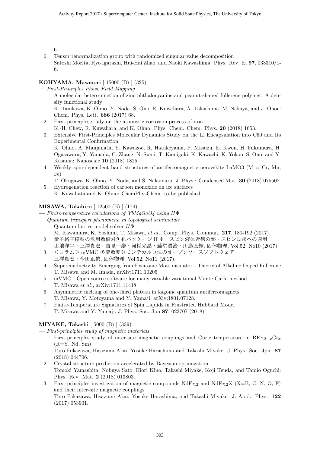6.

6. Tensor renormalization group with randomized singular value decomposition Satoshi Morita, Ryo Igarashi, Hui-Hai Zhao, and Naoki Kawashima: Phys. Rev. E. 97, 033310/1- 6.

#### KOHYAMA, Masanori [ 15000 (B) ] (325)

— First-Principles Phase Field Mapping

- 1. A molecular heterojunction of zinc phthalocyanine and peanut-shaped fullerene polymer: A density functional study K. Tanikawa, K. Ohno, Y. Noda, S. Ono, R. Kuwahara, A. Takashima, M. Nakaya, and J. Onoe:
	- Chem. Phys. Lett. 686 (2017) 68.
- 2. First-ptinciples study on the atomistic corrosion process of iron
- K.-H. Chew, R. Kuwahara, and K. Ohno: Phys. Chem. Chem. Phys. 20 (2018) 1653.
- 3. Extensive First-Principles Molecular Dynamics Study on the Li Encapsulation into C60 and Its Experimental Confirmation

K. Ohno, A. Manjanath, Y. Kawazoe, R. Hatakeyama, F. Misaizu, E. Kwon, H. Fukumura, H. Ogasawara, Y. Yamada, C. Zhang, N. Sumi, T. Kamigaki, K. Kawachi, K. Yokoo, S. Ono, and Y. Kasama: Nanoscale 10 (2018) 1825.

- 4. Weakly spin-dependent band structures of antiferromagnetic perovskite LaMO3 ( $M = Cr$ , Mn, Fe)
- T. Okugawa, K. Ohno, Y. Noda, and S. Nakamura: J. Phys.: Condensed Mat. 30 (2018) 075502. 5. Hydrogenation reaction of carbon monoxide on ice surfaces
	- K. Kuwahata and K. Ohno: ChemPhysChem. to be published.

#### MISAWA, Takahiro [ 12500 (B) ] (174)

- $\overline{a}$  = Finite-temperature calculations of YbMqGaO4 using H $\Phi$
- Quantum transport phenomena in topological semimetals
	- 1. Quantum lattice model solver  $H\Phi$
	- M. Kawamura, K. Yoshimi, T. Misawa, et al., Comp. Phys. Commun. 217, 180-192 (2017). 2. 量子格子模型の汎用数値対角化パッケージ H Ф―スピン液体近傍の熱・スピン励起への適用― 山地洋平·三澤貴宏·吉見一慶·河村光晶·藤堂眞治·川島直輝, 固体物理, Vol.52, No10 (2017).
	- 3. <コラム>mVMC 多変数変分モンテカルロ法のオープンソースソフトウェア 三澤貴宏・今田正俊, 固体物理, Vol.52, No11 (2017).
	- 4. Superconductivity Emerging from Excitonic Mott insulator Theory of Alkaline Doped Fullerene T. Misawa and M. Imada, arXiv:1711.10205
	- 5. mVMC Open-source software for many-variable variational Monte Carlo method T. Misawa et al., arXiv:1711.11418
	- 6. Asymmetric melting of one-third plateau in kagome quantum antiferromagnets T. Misawa, Y. Motoyama and Y. Yamaji, arXiv:1801.07128.
	- 7. Finite-Temperature Signatures of Spin Liquids in Frustrated Hubbard Model T. Misawa and Y. Yamaji, J. Phys. Soc. Jpn 87, 023707 (2018).

#### MIYAKE, Takashi [ 5000 (B) ] (339)

— First-principles study of magnetic materials

- 1. First-principles study of inter-site magnetic couplings and Curie temperature in  $\text{RF}_{12-x}\text{Cr}_x$  $(R=Y, Nd, Sm)$ Taro Fukazawa, Hisazumi Akai, Yosuke Harashima and Takashi Miyake: J. Phys. Soc. Jpn. 87 (2018) 044706.
- 2. Crystal structure prediction accelerated by Bayesian optimization Tomoki Yamashita, Nobuya Sato, Hiori Kino, Takashi Miyake, Koji Tsuda, and Tamio Oguchi: Phys. Rev. Mat. 2 (2018) 013803.
- 3. First-principles investigation of magnetic compounds  $NdFe_{12}$  and  $NdFe_{12}X$  (X=B, C, N, O, F) and their inter-site magnetic couplings Taro Fukazawa, Hisazumi Akai, Yosuke Harashima, and Takashi Miyake: J. Appl. Phys. 122 (2017) 053901.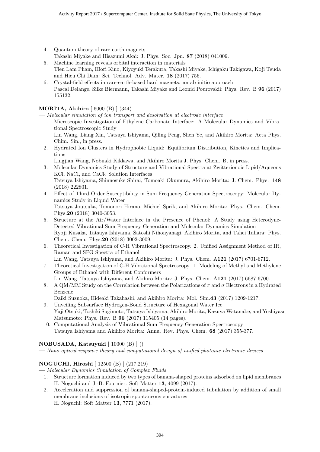- 4. Quantum theory of rare-earth magnets
- Takashi Miyake and Hisazumi Akai: J. Phys. Soc. Jpn. 87 (2018) 041009.
- 5. Machine learning reveals orbital interaction in materials Tien Lam Pham, Hiori Kino, Kiyoyuki Terakura, Takashi Miyake, Ichigaku Takigawa, Koji Tsuda and Hieu Chi Dam: Sci. Technol. Adv. Mater. 18 (2017) 756.
- 6. Crystal-field effects in rare-earth-based hard magnets: an ab initio approach Pascal Delange, Silke Biermann, Takashi Miyake and Leonid Pourovskii: Phys. Rev. B 96 (2017) 155132.

### MORITA, Akihiro [ 6000 (B) ] (344)

— Molecular simulation of ion transport and desolvation at electrode interface

1. Microscopic Investigation of Ethylene Carbonate Interface: A Molecular Dynamics and Vibrational Spectroscopic Study

Lin Wang, Liang Xin, Tatsuya Ishiyama, Qiling Peng, Shen Ye, and Akihiro Morita: Acta Phys. Chim. Sin., in press.

- 2. Hydrated Ion Clusters in Hydrophobic Liquid: Equilibrium Distribution, Kinetics and Implications
	- Lingjian Wang, Nobuaki Kikkawa, and Akihiro Morita:J. Phys. Chem. B, in press.
- 3. Molecular Dynamics Study of Structure and Vibrational Spectra at Zwitterionoic Lipid/Aqueous KCl, NaCl, and CaCl<sub>2</sub> Solution Interfaces Tatsuya Ishiyama, Shinnosuke Shirai, Tomoaki Okumura, Akihiro Morita: J. Chem. Phys. 148 (2018) 222801.
- 4. Effect of Third-Order Susceptibility in Sum Frequency Generation Spectroscopy: Molecular Dynamics Study in Liquid Water Tatsuya Joutsuka, Tomonori Hirano, Michiel Sprik, and Akihiro Morita: Phys. Chem. Chem. Phys.20 (2018) 3040-3053.
- 5. Structure at the Air/Water Interface in the Presence of Phenol: A Study using Heterodyne-Detected Vibrational Sum Frequency Generation and Molecular Dynamics Simulation Ryoji Kusaka, Tatsuya Ishiyama, Satoshi Nihonyanagi, Akihiro Morita, and Tahei Tahara: Phys. Chem. Chem. Phys.20 (2018) 3002-3009.
- 6. Theoretical Investigation of C-H Vibrational Spectroscopy. 2. Unified Assignment Method of IR, Raman and SFG Spectra of Ethanol
	- Lin Wang, Tatsuya Ishiyama, and Akihiro Morita: J. Phys. Chem. A121 (2017) 6701-6712.
- 7. Theoretical Investigation of C-H Vibrational Spectroscopy. 1. Modeling of Methyl and Methylene Groups of Ethanol with Different Conformers Lin Wang, Tatsuya Ishiyama, and Akihiro Morita: J. Phys. Chem. A121 (2017) 6687-6700.
- 8. A QM/MM Study on the Correlation between the Polarizations of  $\pi$  and  $\sigma$  Electrons in a Hydrated Benzene
	- Daiki Suzuoka, Hideaki Takahashi, and Akihiro Morita: Mol. Sim.43 (2017) 1209-1217.
- 9. Unveiling Subsurface Hydrogen-Bond Structure of Hexagonal Water Ice Yuji Otsuki, Toshiki Sugimoto, Tatsuya Ishiyama, Akihiro Morita, Kazuya Watanabe, and Yoshiyasu Matsumoto: Phys. Rev. B 96 (2017) 115405 (14 pages).
- 10. Computational Analysis of Vibrational Sum Frequency Generation Spectroscopy Tatsuya Ishiyama and Akihiro Morita: Annu. Rev. Phys. Chem. 68 (2017) 355-377.

#### NOBUSADA, Katsuyuki [ 10000 (B) ] ()

— Nano-optical response theory and computational design of unified photonic-electronic devices

#### NOGUCHI, Hiroshi [ 12500 (B) ] (217,219)

- Molecular Dynamics Simulation of Complex Fluids
	- 1. Structure formation induced by two types of banana-shaped proteins adsorbed on lipid membranes H. Noguchi and J.-B. Fournier: Soft Matter 13, 4099 (2017).
	- 2. Acceleration and suppression of banana-shaped-protein-induced tubulation by addition of small membrane inclusions of isotropic spontaneous curvatures H. Noguchi: Soft Matter 13, 7771 (2017).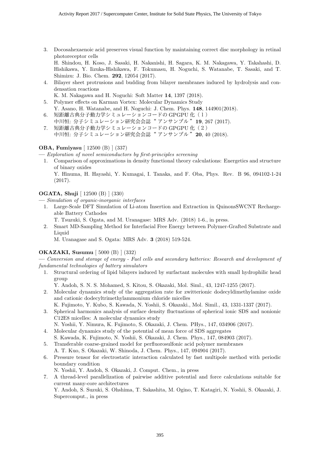3. Docosahexaenoic acid preserves visual function by maintaining correct disc morphology in retinal photoreceptor cells

H. Shindou, H. Koso, J. Sasaki, H. Nakanishi, H. Sagara, K. M. Nakagawa, Y. Takahashi, D. Hishikawa, Y. Iizuka-Hishikawa, F. Tokumasu, H. Noguchi, S. Watanabe, T. Sasaki, and T. Shimizu: J. Bio. Chem. 292, 12054 (2017).

- 4. Bilayer sheet protrusions and budding from bilayer membranes induced by hydrolysis and condensation reactions
	- K. M. Nakagawa and H. Noguchi: Soft Matter 14, 1397 (2018).
- 5. Polymer effects on Karman Vortex: Molecular Dynamics Study Y. Asano, H. Watanabe, and H. Noguchi: J. Chem. Phys. 148, 144901(2018).
- 6. 短距離古典分子動力学シミュレーションコードの GPGPU 化 (1) 中川恒: 分子シミュレーション研究会会誌"アンサンブル"19, 267 (2017).
- 7. 短距離古典分子動力学シミュレーションコードの GPGPU 化 (2) 中川恒: 分子シミュレーション研究会会誌"アンサンブル"20,40 (2018).

#### OBA, Fumiyasu [ 12500 (B) ] (337)

— Exploration of novel semiconductors by first-principles screening

1. Comparison of approximations in density functional theory calculations: Energetics and structure of binary oxides

Y. Hinuma, H. Hayashi, Y. Kumagai, I. Tanaka, and F. Oba, Phys. Rev. B 96, 094102-1-24 (2017).

#### OGATA, Shuji [ 12500 (B) ] (330)

— Simulation of organic-inorganic interfaces

1. Large-Scale DFT Simulation of Li-atom Insertion and Extraction in QuinonsSWCNT Rechargeable Battery Cathodes

T. Tsuzuki, S. Ogata, and M. Uranagase: MRS Adv. (2018) 1-6., in press.

2. Smart MD-Sampling Method for Interfacial Free Energy between Polymer-Grafted Substrate and Liquid

M. Uranagase and S. Ogata: MRS Adv. 3 (2018) 519-524.

#### OKAZAKI, Susumu [ 5000 (B) ] (332)

— Conversion and storage of energy - Fuel cells and secondary batteries: Research and development of fundamental technologies of battery simulators

1. Structural ordering of lipid bilayers induced by surfactant molecules with small hydrophilic head group

Y. Andoh, S. N. S. Mohamed, S. Kitou, S. Okazaki, Mol. Siml., 43, 1247-1255 (2017).

2. Molecular dynamics study of the aggregation rate for zwitterionic dodecyldimethylamine oxide and cationic dodecyltrimethylammonium chloride micelles

K. Fujimoto, Y. Kubo, S. Kawada, N. Yoshii, S. Okazaki., Mol. Simil., 43, 1331-1337 (2017).

3. Spherical harmonics analysis of surface density fluctuations of spherical ionic SDS and nonionic C12E8 micelles: A molecular dynamics study

N. Yoshii, Y. Nimura, K. Fujimoto, S. Okazaki, J. Chem. PHys., 147, 034906 (2017).

- 4. Molecular dynamics study of the potential of mean force of SDS aggregates
- S. Kawada, K. Fujimoto, N. Yoshii, S. Okazaki, J. Chem. Phys., 147, 084903 (2017).
- 5. Transferable coarse-grained model for perfluorosulfonic acid polymer membranes A. T. Kuo, S. Okazaki, W. Shinoda, J. Chem. Phys., 147, 094904 (2017).
- 6. Pressure tensor for electrostatic interaction calculated by fast multipole method with periodic boundary condition
	- N. Yoshii, Y. Andoh, S. Okazaki, J. Comput. Chem., in press
- 7. A thread-level parallelization of pairwise additive potential and force calculations suitable for current many-core architectures

Y. Andoh, S. Suzuki, S. Ohshima, T. Sakashita, M. Ogino, T. Katagiri, N. Yoshii, S. Okazaki, J. Supercomput., in press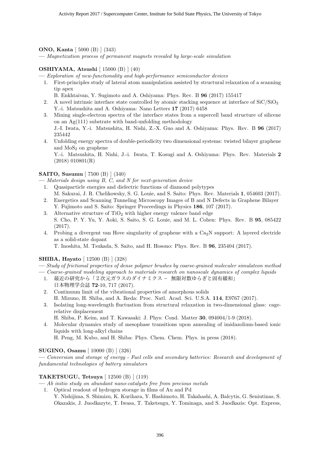#### ONO, Kanta [ 5000 (B) ] (343)

— Magnetization process of permanent magnets revealed by large-scale simulation

#### OSHIYAMA, Atsushi [ 15000 (B) ] (40)

— Exploration of new-functionality and high-performance semiconductor devices

- 1. First-principles study of lateral atom manipulation assisted by structural relaxation of a scanning tip apex
	- B. Enkhtaivan, Y. Sugimoto and A. Oshiyama: Phys. Rev. B 96 (2017) 155417
- 2. A novel intrinsic interface state controlled by atomic stacking sequence at interface of  $SiC/SiO<sub>2</sub>$ Y.-i. Matsushita and A. Oshiyama: Nano Letters 17 (2017) 6458
- 3. Mining single-electron spectra of the interface states from a supercell band structure of silicene on an  $Ag(111)$  substrate with band-unfolding methodology J.-I. Iwata, Y.-i. Matsushita, H. Nishi, Z.-X. Guo and A. Oshiyama: Phys. Rev. B 96 (2017) 235442
- 4. Unfolding energy spectra of double-periodicity two dimensional systems: twisted bilayer graphene and  $MoS<sub>2</sub>$  on graphene

Y.-i. Matsushita, H. Nishi, J.-i. Iwata, T. Kosugi and A. Oshiyama: Phys. Rev. Materials 2 (2018) 010801(R)

#### SAITO, Susumu [ 7500 (B) ] (340)

— Materials design using B, C, and N for next-generation device

- 1. Quasiparticle energies and dielectric functions of diamond polytypes M. Sakurai, J. R. Chelikowsky, S. G. Louie, and S. Saito: Phys. Rev. Materials 1, 054603 (2017).
- 2. Energetics and Scanning Tunneling Microscopy Images of B and N Defects in Graphene Bilayer Y. Fujimoto and S. Saito: Springer Proceedings in Physics 186, 107 (2017).
- 3. Alternative structure of  $TiO<sub>2</sub>$  with higher energy valence band edge
- S. Cho, P. Y. Yu, Y. Aoki, S. Saito, S. G. Louie, and M. L. Cohen: Phys. Rev. B 95, 085422 (2017).
- 4. Probing a divergent van Hove singularity of graphene with a  $Ca<sub>2</sub>N$  support: A layered electride as a solid-state dopant

T. Inoshita, M. Tsukada, S. Saito, and H. Hosono: Phys. Rev. B 96, 235404 (2017).

#### SHIBA, Hayato [ 12500 (B) ] (328)

- Study of frictional properties of dense polymer brushes by coarse-grained moleculer simulateon method
- Coarse-grained modeling approach to materials research on nanoscale dynamics of complex liquids
	- 1. 最近の研究から「2次元ガラスのダイナミクス 無限対数ゆらぎと固有緩和」 日本物理学会誌 72-10, 717 (2017).
	- 2. Continuum limit of the vibrational properties of amorphous solids H. Mizuno, H. Shiba, and A. Ikeda: Proc. Natl. Acad. Sci. U.S.A. 114, E9767 (2017).
	- 3. Isolating long-wavelength fluctuation from structural relaxation in two-dimensional glass: cagerelative displacement

H. Shiba, P. Keim, and T. Kawasaki: J. Phys: Cond. Matter 30, 094004/1-9 (2018).

4. Molecular dynamics study of mesophase transitions upon annealing of imidazolium-based ionic liquids with long-alkyl chains

H. Peng, M. Kubo, and H. Shiba: Phys. Chem. Chem. Phys. in press (2018).

#### SUGINO, Osamu [ 10000 (B) ] (326)

— Conversion and storage of energy - Fuel cells and secondary batteries: Research and development of fundamental technologies of battery simulators

#### TAKETSUGU, Tetsuya [ 12500 (B) ] (119)

— Ab initio study on abundant nano-catalysts free from precious metals

1. Optical readout of hydrogen storage in films of Au and Pd Y. Nishijima, S. Shimizu, K. Kurihara, Y. Hashimoto, H. Takahashi, A. Balcytis, G. Seniutinas, S. Okazakis, J. Juodkazyte, T. Iwasa, T. Taketsugu, Y. Tominaga, and S. Juodkazis: Opt. Express,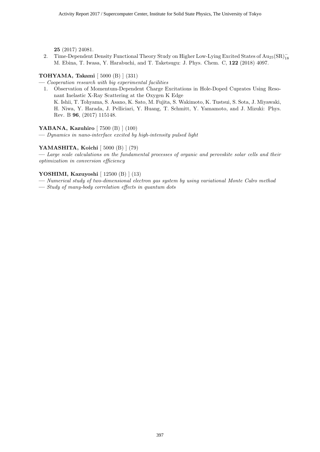25 (2017) 24081.

2. Time-Dependent Density Functional Theory Study on Higher Low-Lying Excited States of Au<sub>25</sub>(SR)<sup>-</sup><sub>18</sub> M. Ebina, T. Iwasa, Y. Harabuchi, and T. Taketsugu: J. Phys. Chem. C, 122 (2018) 4097.

#### TOHYAMA, Takami [ 5000 (B) ] (331)

— Cooperation research with big experimental facilities

1. Observation of Momentum-Dependent Charge Excitations in Hole-Doped Cuprates Using Resonant Inelastic X-Ray Scattering at the Oxygen K Edge K. Ishii, T. Tohyama, S. Asano, K. Sato, M. Fujita, S. Wakimoto, K. Tustsui, S. Sota, J. Miyawaki, H. Niwa, Y. Harada, J. Pelliciari, Y. Huang, T. Schmitt, Y. Yamamoto, and J. Mizuki: Phys. Rev. B 96, (2017) 115148.

#### YABANA, Kazuhiro [ 7500 (B) ] (100)

— Dynamics in nano-interface excited by high-intensity pulsed light

#### YAMASHITA, Koichi [ 5000 (B) ] (79)

— Large scale calculations on the fundamental processes of organic and perovskite solar cells and their optimization in conversion efficiency

#### YOSHIMI, Kazuyoshi [ 12500 (B) ] (13)

- Numerical study of two-dimensional electron gas system by using variational Monte Calro method
- Study of many-body correlation effects in quantum dots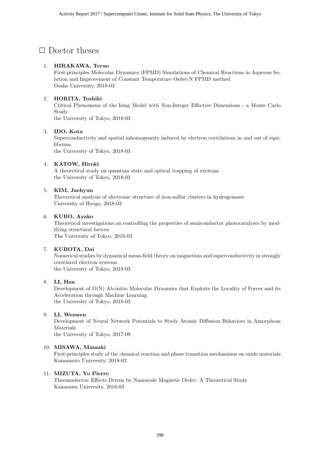### *✷* Doctor theses

#### 1. **HIRAKAWA, Teruo**

First-principles Molecular Dynamics (FPMD) Simulations of Chemical Reactions in Aqueous Solution and Improvement of Constant Temperature Order-N FPMD method Osaka University, 2018-03

#### 2. **HORITA, Toshiki**

Critical Phenomena of the Ising Model with Non-Integer Effective Dimensions - a Monte Carlo Study

the University of Tokyo, 2018-03

#### 3. **IDO, Kota**

Superconductivity and spatial inhomogeneity induced by electron correlations in and out of equilibrium

the University of Tokyo, 2018-03

#### 4. **KATOW, Hiroki**

A theoretical study on quantum state and optical trapping of excitons the University of Tokyo, 2018-03

#### 5. **KIM, Jaehyun**

Theoretical analysis of electronic structure of iron-sulfur clusters in hydrogenases University of Hyogo, 2018-03

#### 6. **KUBO, Ayako**

Theoretical investigations on controlling the properties of semiconductor photocatalysts by modifying structural factors The University of Tokyo, 2018-03

#### 7. **KUBOTA, Dai**

Numerical studies by dynamical mean-field theory on magnetism and superconductivity in strongly correlated electron systems the University of Tokyo, 2018-03

#### 8. **LI, Han**

Development of O(N) Ab-initio Molecular Dynamics that Exploits the Locality of Forces and its Acceleration through Machine Learning the University of Tokyo, 2018-03

#### 9. **LI, Wenwen**

Development of Neural Network Potentials to Study Atomic Diffusion Behaviors in Amorphous Materials

the University of Tokyo, 2017-09

#### 10. **MISAWA, Masaaki**

First-principles study of the chemical reaction and phase transition mechanisms on oxide materials Kumamoto University, 2018-03

#### 11. **MIZUTA, Yo Pierre**

Thermoelectric Effects Driven by Nanoscale Magnetic Order: A Theoretical Study Kanazawa University, 2018-03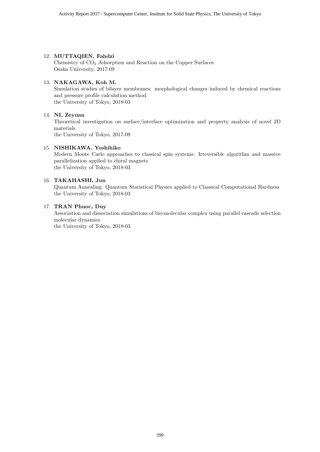#### 12. **MUTTAQIEN, Fahdzi**

Chemistry of CO<sup>2</sup> Adsorption and Reaction on the Copper Surfaces Osaka University, 2017-09

#### 13. **NAKAGAWA, Koh M.**

Simulation studies of bilayer membranes: morphological changes induced by chemical reactions and pressure profile calculation method the University of Tokyo, 2018-03

#### 14. **NI, Zeyuan**

Theoretical investigation on surface/interface optimization and property analysis of novel 2D materials

the University of Tokyo, 2017-09

#### 15. **NISHIKAWA, Yoshihiko**

Modern Monte Carlo approaches to classical spin systems: Irreversible algorithm and massive parallelization applied to chiral magnets the University of Tokyo, 2018-03

#### 16. **TAKAHASHI, Jun**

Quantum Annealing: Quantum Statistical Physics applied to Classical Computational Hardness the University of Tokyo, 2018-03

#### 17. **TRAN Phuoc, Duy**

Association and dissociation simulations of bio-molecular complex using parallel cascade selection molecular dynamics

the University of Tokyo, 2018-03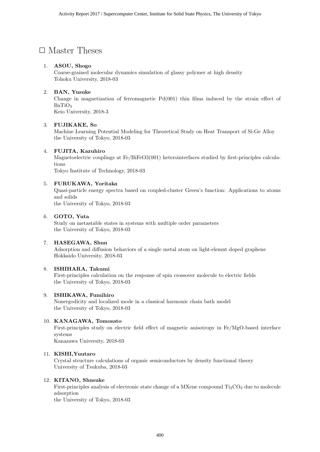### □ Master Theses

#### 1. **ASOU, Shogo**

Coarse-grained molecular dynamics simulation of glassy polymer at high density Tohoku University, 2018-03

#### 2. **BAN, Yusuke**

Change in magnetization of ferromagnetic  $Pd(001)$  thin films induced by the strain effect of BaTiO<sub>3</sub> Keio University, 2018-3

#### 3. **FUJIKAKE, So**

Machine Learning Potential Modeling for Theoretical Study on Heat Transport of Si-Ge Alloy the University of Tokyo, 2018-03

#### 4. **FUJITA, Kazuhiro**

Magnetoelectric couplings at Fe/BiFeO3(001) heterointerfaces studied by first-principles calculations

Tokyo Institute of Technology, 2018-03

#### 5. **FURUKAWA, Yoritaka**

Quasi-particle energy spectra based on coupled-cluster Green's function: Applications to atoms and solids

the University of Tokyo, 2018-03

#### 6. **GOTO, Yuta**

Study on metastable states in systems with multiple order parameters the University of Tokyo, 2018-03

#### 7. **HASEGAWA, Shun**

Adsorption and diffusion behaviors of a single metal atom on light-elemnt doped graphene Hokkaido University, 2018-03

#### 8. **ISHIHARA, Takumi**

First-principles calculation on the response of spin crossover molecule to electric fields the University of Tokyo, 2018-03

#### 9. **ISHIKAWA, Fumihiro**

Nonergodicity and localized mode in a classical harmonic chain bath model the University of Tokyo, 2018-03

#### 10. **KANAGAWA, Tomosato**

First-principles study on electric field effect of magnetic anisotropy in Fe/MgO-based interface systems

Kanazawa University, 2018-03

#### 11. **KISHI,Yuutaro**

Crystal structure calculations of organic semiconductors by density functional theory University of Tsukuba, 2018-03

#### 12. **KITANO, Shusuke**

First-principles analysis of electronic state change of a MXene compound  $Ti<sub>2</sub>CO<sub>2</sub>$  due to molecule adsorption

the University of Tokyo, 2018-03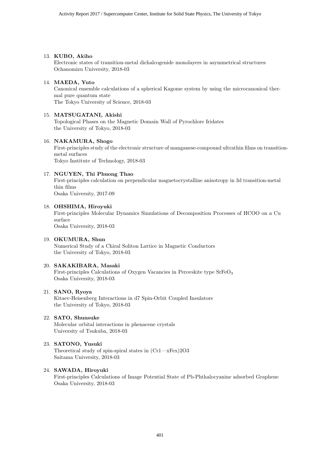#### 13. **KUBO, Akiho**

Electronic states of transition-metal dichalcogenide monolayers in asymmetrical structures Ochanomizu University, 2018-03

#### 14. **MAEDA, Yuto**

Canonical ensemble calculations of a spherical Kagome system by using the microcanonical thermal pure quantum state The Tokyo University of Science, 2018-03

#### 15. **MATSUGATANI, Akishi**

Topological Phases on the Magnetic Domain Wall of Pyrochlore Iridates the University of Tokyo, 2018-03

#### 16. **NAKAMURA, Shogo**

First-principles study of the electronic structure of manganese-compound ultrathin films on transitionmetal surfaces

Tokyo Institute of Technology, 2018-03

#### 17. **NGUYEN, Thi Phuong Thao**

First-principles calculation on perpendicular magnetocrystalline anisotropy in 3d transition-metal thin films Osaka University, 2017-09

#### 18. **OHSHIMA, Hiroyuki**

First-principles Molecular Dynamics Simulations of Decomposition Processes of HCOO on a Cu surface Osaka University, 2018-03

#### 19. **OKUMURA, Shun**

Numerical Study of a Chiral Soliton Lattice in Magnetic Conductors the University of Tokyo, 2018-03

#### 20. **SAKAKIBARA, Masaki**

First-principles Calculations of Oxygen Vacancies in Perovskite type  $SrFeO<sub>3</sub>$ Osaka University, 2018-03

#### 21. **SANO, Ryoya**

Kitaev-Heisenberg Interactions in d7 Spin-Orbit Coupled Insulators the University of Tokyo, 2018-03

#### 22. **SATO, Shunsuke**

Molecular orbital interactions in phenacene crystals University of Tsukuba, 2018-03

#### 23. **SATONO, Yusuki**

Theoretical study of spin-spiral states in (Cr1—xFex)2O3 Saitama University, 2018-03

#### 24. **SAWADA, Hiroyuki**

First-principles Calculations of Image Potential State of Pb-Phthalocyanine adsorbed Graphene Osaka University, 2018-03